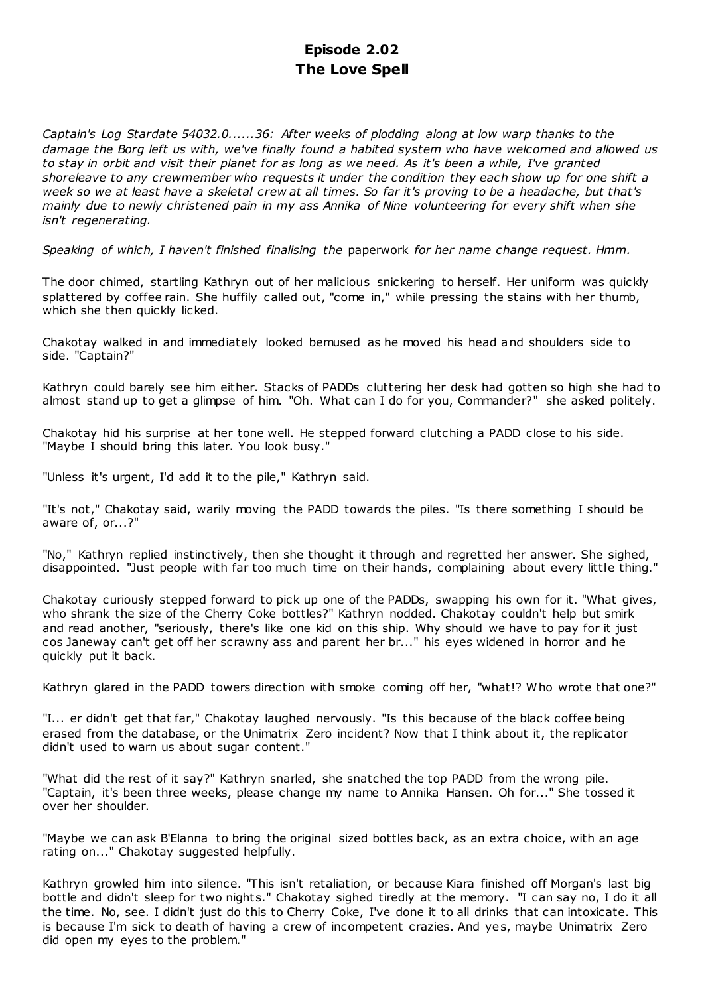# **Episode 2.02 The Love Spell**

*Captain's Log Stardate 54032.0......36: After weeks of plodding along at low warp thanks to the damage the Borg left us with, we've finally found a habited system who have welcomed and allowed us to stay in orbit and visit their planet for as long as we need. As it's been a while, I've granted shoreleave to any crewmember who requests it under the condition they each show up for one shift a week so we at least have a skeletal crew at all times. So far it's proving to be a headache, but that's mainly due to newly christened pain in my ass Annika of Nine volunteering for every shift when she isn't regenerating.*

*Speaking of which, I haven't finished finalising the* paperwork *for her name change request. Hmm.*

The door chimed, startling Kathryn out of her malicious snickering to herself. Her uniform was quickly splattered by coffee rain. She huffily called out, "come in," while pressing the stains with her thumb, which she then quickly licked.

Chakotay walked in and immediately looked bemused as he moved his head and shoulders side to side. "Captain?"

Kathryn could barely see him either. Stacks of PADDs cluttering her desk had gotten so high she had to almost stand up to get a glimpse of him. "Oh. What can I do for you, Commander?" she asked politely.

Chakotay hid his surprise at her tone well. He stepped forward clutching a PADD close to his side. "Maybe I should bring this later. You look busy."

"Unless it's urgent, I'd add it to the pile," Kathryn said.

"It's not," Chakotay said, warily moving the PADD towards the piles. "Is there something I should be aware of, or...?"

"No," Kathryn replied instinctively, then she thought it through and regretted her answer. She sighed, disappointed. "Just people with far too much time on their hands, complaining about every little thing."

Chakotay curiously stepped forward to pick up one of the PADDs, swapping his own for it. "What gives, who shrank the size of the Cherry Coke bottles?" Kathryn nodded. Chakotay couldn't help but smirk and read another, "seriously, there's like one kid on this ship. Why should we have to pay for it just cos Janeway can't get off her scrawny ass and parent her br..." his eyes widened in horror and he quickly put it back.

Kathryn glared in the PADD towers direction with smoke coming off her, "what!? Who wrote that one?"

"I... er didn't get that far," Chakotay laughed nervously. "Is this because of the black coffee being erased from the database, or the Unimatrix Zero incident? Now that I think about it, the replicator didn't used to warn us about sugar content."

"What did the rest of it say?" Kathryn snarled, she snatched the top PADD from the wrong pile. "Captain, it's been three weeks, please change my name to Annika Hansen. Oh for..." She tossed it over her shoulder.

"Maybe we can ask B'Elanna to bring the original sized bottles back, as an extra choice, with an age rating on..." Chakotay suggested helpfully.

Kathryn growled him into silence. "This isn't retaliation, or because Kiara finished off Morgan's last big bottle and didn't sleep for two nights." Chakotay sighed tiredly at the memory. "I can say no, I do it all the time. No, see. I didn't just do this to Cherry Coke, I've done it to all drinks that can intoxicate. This is because I'm sick to death of having a crew of incompetent crazies. And yes, maybe Unimatrix Zero did open my eyes to the problem."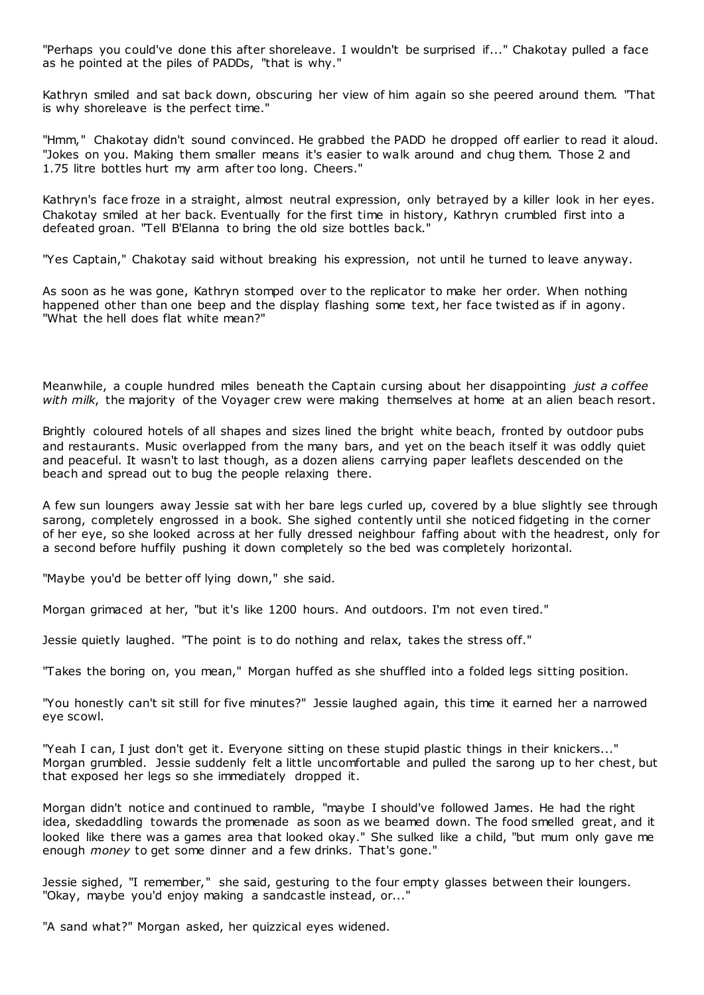"Perhaps you could've done this after shoreleave. I wouldn't be surprised if..." Chakotay pulled a face as he pointed at the piles of PADDs, "that is why."

Kathryn smiled and sat back down, obscuring her view of him again so she peered around them. "That is why shoreleave is the perfect time."

"Hmm," Chakotay didn't sound convinced. He grabbed the PADD he dropped off earlier to read it aloud. "Jokes on you. Making them smaller means it's easier to walk around and chug them. Those 2 and 1.75 litre bottles hurt my arm after too long. Cheers."

Kathryn's face froze in a straight, almost neutral expression, only betrayed by a killer look in her eyes. Chakotay smiled at her back. Eventually for the first time in history, Kathryn crumbled first into a defeated groan. "Tell B'Elanna to bring the old size bottles back."

"Yes Captain," Chakotay said without breaking his expression, not until he turned to leave anyway.

As soon as he was gone, Kathryn stomped over to the replicator to make her order. When nothing happened other than one beep and the display flashing some text, her face twisted as if in agony. "What the hell does flat white mean?"

Meanwhile, a couple hundred miles beneath the Captain cursing about her disappointing *just a coffee with milk*, the majority of the Voyager crew were making themselves at home at an alien beach resort.

Brightly coloured hotels of all shapes and sizes lined the bright white beach, fronted by outdoor pubs and restaurants. Music overlapped from the many bars, and yet on the beach itself it was oddly quiet and peaceful. It wasn't to last though, as a dozen aliens carrying paper leaflets descended on the beach and spread out to bug the people relaxing there.

A few sun loungers away Jessie sat with her bare legs curled up, covered by a blue slightly see through sarong, completely engrossed in a book. She sighed contently until she noticed fidgeting in the corner of her eye, so she looked across at her fully dressed neighbour faffing about with the headrest, only for a second before huffily pushing it down completely so the bed was completely horizontal.

"Maybe you'd be better off lying down," she said.

Morgan grimaced at her, "but it's like 1200 hours. And outdoors. I'm not even tired."

Jessie quietly laughed. "The point is to do nothing and relax, takes the stress off."

"Takes the boring on, you mean," Morgan huffed as she shuffled into a folded legs sitting position.

"You honestly can't sit still for five minutes?" Jessie laughed again, this time it earned her a narrowed eye scowl.

"Yeah I can, I just don't get it. Everyone sitting on these stupid plastic things in their knickers..." Morgan grumbled. Jessie suddenly felt a little uncomfortable and pulled the sarong up to her chest, but that exposed her legs so she immediately dropped it.

Morgan didn't notice and continued to ramble, "maybe I should've followed James. He had the right idea, skedaddling towards the promenade as soon as we beamed down. The food smelled great, and it looked like there was a games area that looked okay." She sulked like a child, "but mum only gave me enough *money* to get some dinner and a few drinks. That's gone."

Jessie sighed, "I remember," she said, gesturing to the four empty glasses between their loungers. "Okay, maybe you'd enjoy making a sandcastle instead, or..."

"A sand what?" Morgan asked, her quizzical eyes widened.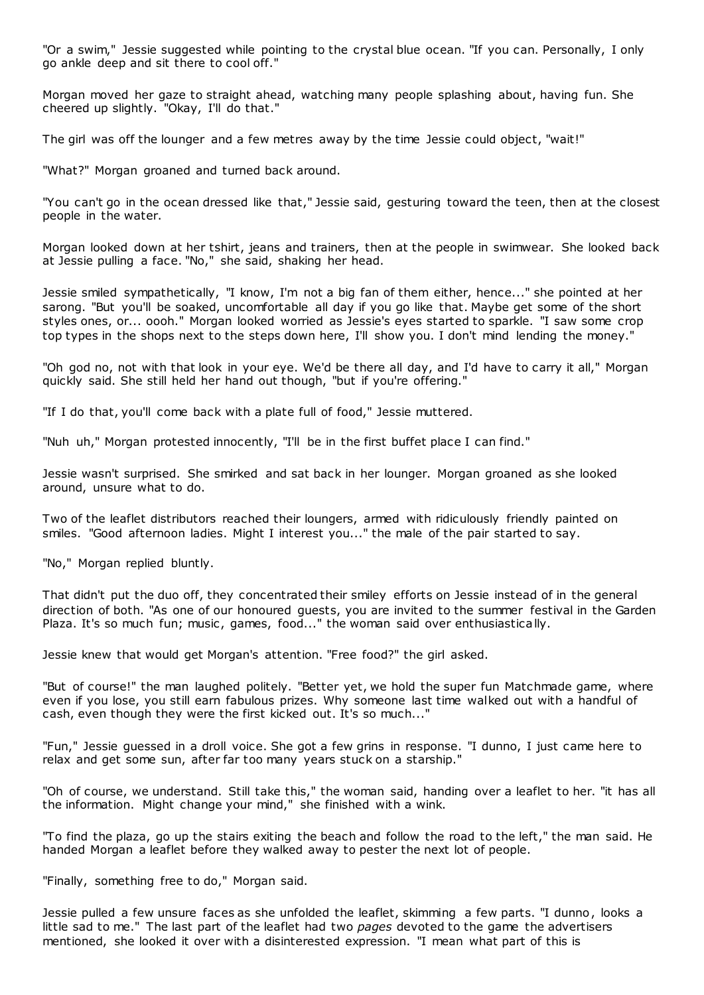"Or a swim," Jessie suggested while pointing to the crystal blue ocean. "If you can. Personally, I only go ankle deep and sit there to cool off."

Morgan moved her gaze to straight ahead, watching many people splashing about, having fun. She cheered up slightly. "Okay, I'll do that."

The girl was off the lounger and a few metres away by the time Jessie could object, "wait!"

"What?" Morgan groaned and turned back around.

"You can't go in the ocean dressed like that," Jessie said, gesturing toward the teen, then at the closest people in the water.

Morgan looked down at her tshirt, jeans and trainers, then at the people in swimwear. She looked back at Jessie pulling a face. "No," she said, shaking her head.

Jessie smiled sympathetically, "I know, I'm not a big fan of them either, hence..." she pointed at her sarong. "But you'll be soaked, uncomfortable all day if you go like that. Maybe get some of the short styles ones, or... oooh." Morgan looked worried as Jessie's eyes started to sparkle. "I saw some crop top types in the shops next to the steps down here, I'll show you. I don't mind lending the money."

"Oh god no, not with that look in your eye. We'd be there all day, and I'd have to carry it all," Morgan quickly said. She still held her hand out though, "but if you're offering."

"If I do that, you'll come back with a plate full of food," Jessie muttered.

"Nuh uh," Morgan protested innocently, "I'll be in the first buffet place I can find."

Jessie wasn't surprised. She smirked and sat back in her lounger. Morgan groaned as she looked around, unsure what to do.

Two of the leaflet distributors reached their loungers, armed with ridiculously friendly painted on smiles. "Good afternoon ladies. Might I interest you..." the male of the pair started to say.

"No," Morgan replied bluntly.

That didn't put the duo off, they concentrated their smiley efforts on Jessie instead of in the general direction of both. "As one of our honoured guests, you are invited to the summer festival in the Garden Plaza. It's so much fun; music, games, food..." the woman said over enthusiastically.

Jessie knew that would get Morgan's attention. "Free food?" the girl asked.

"But of course!" the man laughed politely. "Better yet, we hold the super fun Matchmade game, where even if you lose, you still earn fabulous prizes. Why someone last time walked out with a handful of cash, even though they were the first kicked out. It's so much..."

"Fun," Jessie guessed in a droll voice. She got a few grins in response. "I dunno, I just came here to relax and get some sun, after far too many years stuck on a starship."

"Oh of course, we understand. Still take this," the woman said, handing over a leaflet to her. "it has all the information. Might change your mind," she finished with a wink.

"To find the plaza, go up the stairs exiting the beach and follow the road to the left," the man said. He handed Morgan a leaflet before they walked away to pester the next lot of people.

"Finally, something free to do," Morgan said.

Jessie pulled a few unsure faces as she unfolded the leaflet, skimming a few parts. "I dunno, looks a little sad to me." The last part of the leaflet had two *pages* devoted to the game the advertisers mentioned, she looked it over with a disinterested expression. "I mean what part of this is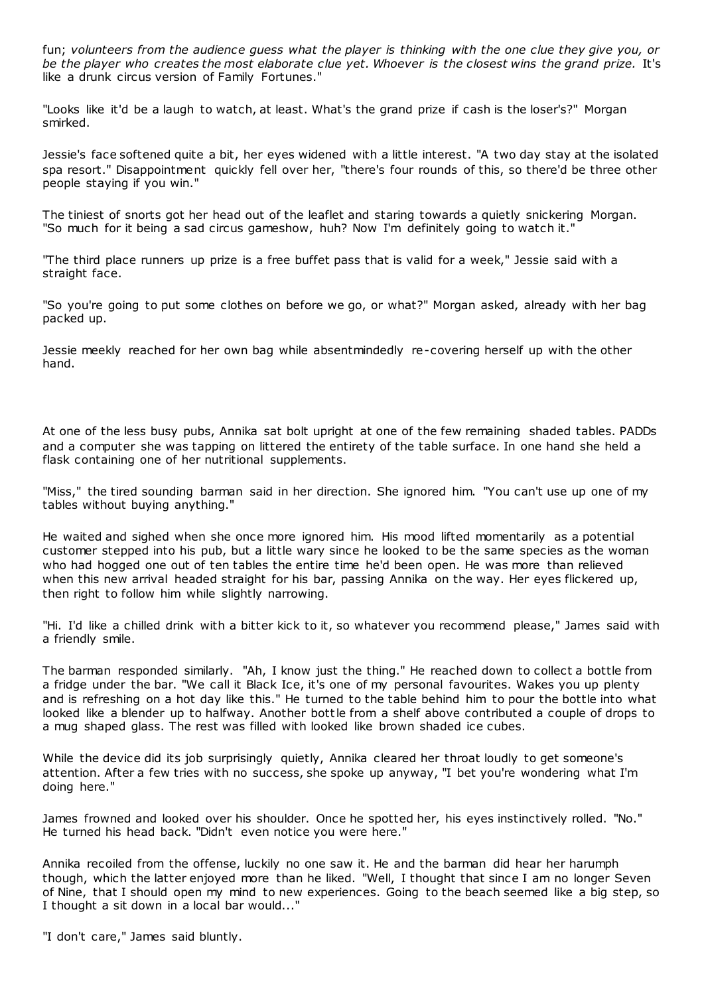fun; *volunteers from the audience guess what the player is thinking with the one clue they give you, or be the player who creates the most elaborate clue yet. Whoever is the closest wins the grand prize.* It's like a drunk circus version of Family Fortunes."

"Looks like it'd be a laugh to watch, at least. What's the grand prize if cash is the loser's?" Morgan smirked.

Jessie's face softened quite a bit, her eyes widened with a little interest. "A two day stay at the isolated spa resort." Disappointment quickly fell over her, "there's four rounds of this, so there'd be three other people staying if you win."

The tiniest of snorts got her head out of the leaflet and staring towards a quietly snickering Morgan. "So much for it being a sad circus gameshow, huh? Now I'm definitely going to watch it."

"The third place runners up prize is a free buffet pass that is valid for a week," Jessie said with a straight face.

"So you're going to put some clothes on before we go, or what?" Morgan asked, already with her bag packed up.

Jessie meekly reached for her own bag while absentmindedly re-covering herself up with the other hand.

At one of the less busy pubs, Annika sat bolt upright at one of the few remaining shaded tables. PADDs and a computer she was tapping on littered the entirety of the table surface. In one hand she held a flask containing one of her nutritional supplements.

"Miss," the tired sounding barman said in her direction. She ignored him. "You can't use up one of my tables without buying anything."

He waited and sighed when she once more ignored him. His mood lifted momentarily as a potential customer stepped into his pub, but a little wary since he looked to be the same species as the woman who had hogged one out of ten tables the entire time he'd been open. He was more than relieved when this new arrival headed straight for his bar, passing Annika on the way. Her eyes flickered up, then right to follow him while slightly narrowing.

"Hi. I'd like a chilled drink with a bitter kick to it, so whatever you recommend please," James said with a friendly smile.

The barman responded similarly. "Ah, I know just the thing." He reached down to collect a bottle from a fridge under the bar. "We call it Black Ice, it's one of my personal favourites. Wakes you up plenty and is refreshing on a hot day like this." He turned to the table behind him to pour the bottle into what looked like a blender up to halfway. Another bottle from a shelf above contributed a couple of drops to a mug shaped glass. The rest was filled with looked like brown shaded ice cubes.

While the device did its job surprisingly quietly, Annika cleared her throat loudly to get someone's attention. After a few tries with no success, she spoke up anyway, "I bet you're wondering what I'm doing here."

James frowned and looked over his shoulder. Once he spotted her, his eyes instinctively rolled. "No." He turned his head back. "Didn't even notice you were here."

Annika recoiled from the offense, luckily no one saw it. He and the barman did hear her harumph though, which the latter enjoyed more than he liked. "Well, I thought that since I am no longer Seven of Nine, that I should open my mind to new experiences. Going to the beach seemed like a big step, so I thought a sit down in a local bar would..."

"I don't care," James said bluntly.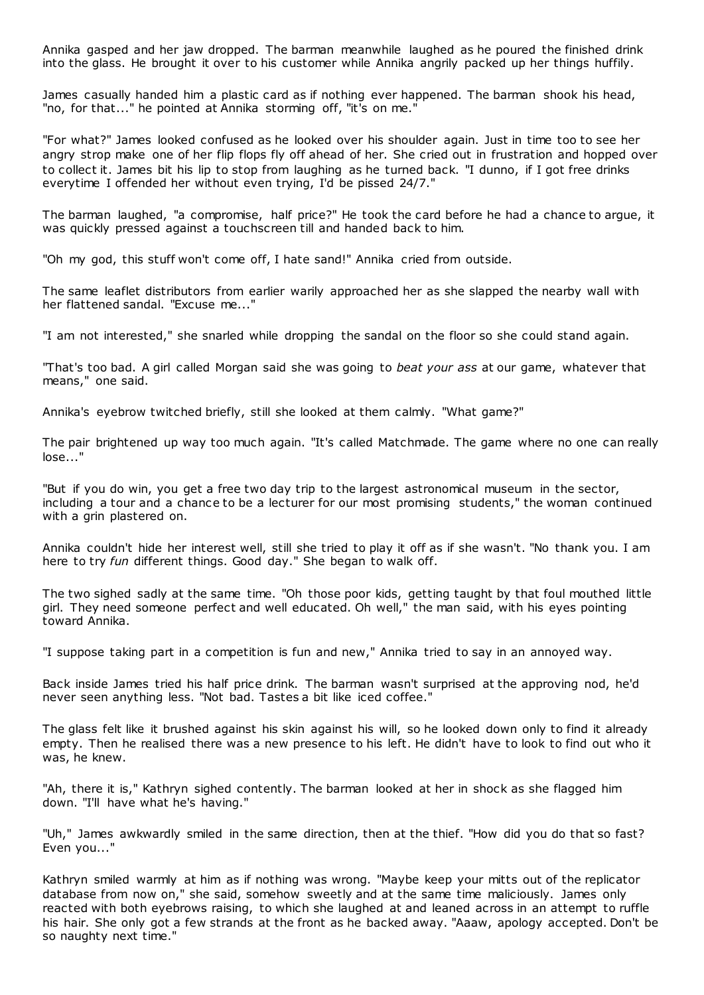Annika gasped and her jaw dropped. The barman meanwhile laughed as he poured the finished drink into the glass. He brought it over to his customer while Annika angrily packed up her things huffily.

James casually handed him a plastic card as if nothing ever happened. The barman shook his head, "no, for that..." he pointed at Annika storming off, "it's on me."

"For what?" James looked confused as he looked over his shoulder again. Just in time too to see her angry strop make one of her flip flops fly off ahead of her. She cried out in frustration and hopped over to collect it. James bit his lip to stop from laughing as he turned back. "I dunno, if I got free drinks everytime I offended her without even trying, I'd be pissed 24/7."

The barman laughed, "a compromise, half price?" He took the card before he had a chance to argue, it was quickly pressed against a touchscreen till and handed back to him.

"Oh my god, this stuff won't come off, I hate sand!" Annika cried from outside.

The same leaflet distributors from earlier warily approached her as she slapped the nearby wall with her flattened sandal. "Excuse me..."

"I am not interested," she snarled while dropping the sandal on the floor so she could stand again.

"That's too bad. A girl called Morgan said she was going to *beat your ass* at our game, whatever that means," one said.

Annika's eyebrow twitched briefly, still she looked at them calmly. "What game?"

The pair brightened up way too much again. "It's called Matchmade. The game where no one can really lose..."

"But if you do win, you get a free two day trip to the largest astronomical museum in the sector, including a tour and a chance to be a lecturer for our most promising students," the woman continued with a grin plastered on.

Annika couldn't hide her interest well, still she tried to play it off as if she wasn't. "No thank you. I am here to try *fun* different things. Good day." She began to walk off.

The two sighed sadly at the same time. "Oh those poor kids, getting taught by that foul mouthed little girl. They need someone perfect and well educated. Oh well," the man said, with his eyes pointing toward Annika.

"I suppose taking part in a competition is fun and new," Annika tried to say in an annoyed way.

Back inside James tried his half price drink. The barman wasn't surprised at the approving nod, he'd never seen anything less. "Not bad. Tastes a bit like iced coffee."

The glass felt like it brushed against his skin against his will, so he looked down only to find it already empty. Then he realised there was a new presence to his left. He didn't have to look to find out who it was, he knew.

"Ah, there it is," Kathryn sighed contently. The barman looked at her in shock as she flagged him down. "I'll have what he's having."

"Uh," James awkwardly smiled in the same direction, then at the thief. "How did you do that so fast? Even you..."

Kathryn smiled warmly at him as if nothing was wrong. "Maybe keep your mitts out of the replicator database from now on," she said, somehow sweetly and at the same time maliciously. James only reacted with both eyebrows raising, to which she laughed at and leaned across in an attempt to ruffle his hair. She only got a few strands at the front as he backed away. "Aaaw, apology accepted. Don't be so naughty next time."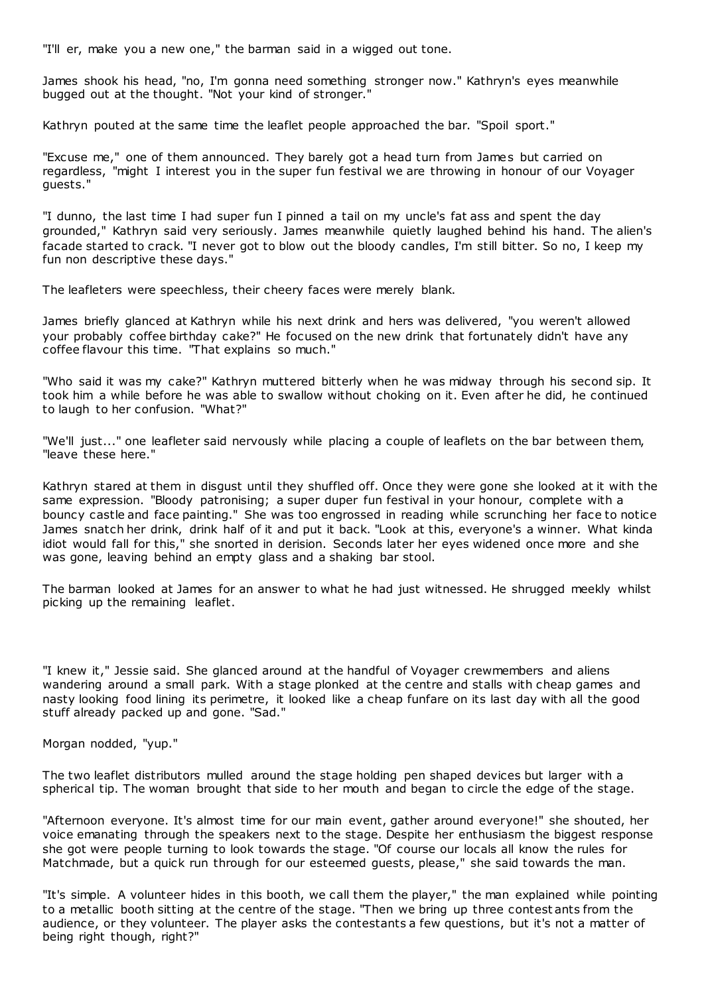"I'll er, make you a new one," the barman said in a wigged out tone.

James shook his head, "no, I'm gonna need something stronger now." Kathryn's eyes meanwhile bugged out at the thought. "Not your kind of stronger."

Kathryn pouted at the same time the leaflet people approached the bar. "Spoil sport."

"Excuse me," one of them announced. They barely got a head turn from James but carried on regardless, "might I interest you in the super fun festival we are throwing in honour of our Voyager guests."

"I dunno, the last time I had super fun I pinned a tail on my uncle's fat ass and spent the day grounded," Kathryn said very seriously. James meanwhile quietly laughed behind his hand. The alien's facade started to crack. "I never got to blow out the bloody candles, I'm still bitter. So no, I keep my fun non descriptive these days."

The leafleters were speechless, their cheery faces were merely blank.

James briefly glanced at Kathryn while his next drink and hers was delivered, "you weren't allowed your probably coffee birthday cake?" He focused on the new drink that fortunately didn't have any coffee flavour this time. "That explains so much."

"Who said it was my cake?" Kathryn muttered bitterly when he was midway through his second sip. It took him a while before he was able to swallow without choking on it. Even after he did, he continued to laugh to her confusion. "What?"

"We'll just..." one leafleter said nervously while placing a couple of leaflets on the bar between them, "leave these here."

Kathryn stared at them in disgust until they shuffled off. Once they were gone she looked at it with the same expression. "Bloody patronising; a super duper fun festival in your honour, complete with a bouncy castle and face painting." She was too engrossed in reading while scrunching her face to notice James snatch her drink, drink half of it and put it back. "Look at this, everyone's a winner. What kinda idiot would fall for this," she snorted in derision. Seconds later her eyes widened once more and she was gone, leaving behind an empty glass and a shaking bar stool.

The barman looked at James for an answer to what he had just witnessed. He shrugged meekly whilst picking up the remaining leaflet.

"I knew it," Jessie said. She glanced around at the handful of Voyager crewmembers and aliens wandering around a small park. With a stage plonked at the centre and stalls with cheap games and nasty looking food lining its perimetre, it looked like a cheap funfare on its last day with all the good stuff already packed up and gone. "Sad."

Morgan nodded, "yup."

The two leaflet distributors mulled around the stage holding pen shaped devices but larger with a spherical tip. The woman brought that side to her mouth and began to circle the edge of the stage.

"Afternoon everyone. It's almost time for our main event, gather around everyone!" she shouted, her voice emanating through the speakers next to the stage. Despite her enthusiasm the biggest response she got were people turning to look towards the stage. "Of course our locals all know the rules for Matchmade, but a quick run through for our esteemed guests, please," she said towards the man.

"It's simple. A volunteer hides in this booth, we call them the player," the man explained while pointing to a metallic booth sitting at the centre of the stage. "Then we bring up three contest ants from the audience, or they volunteer. The player asks the contestants a few questions, but it's not a matter of being right though, right?"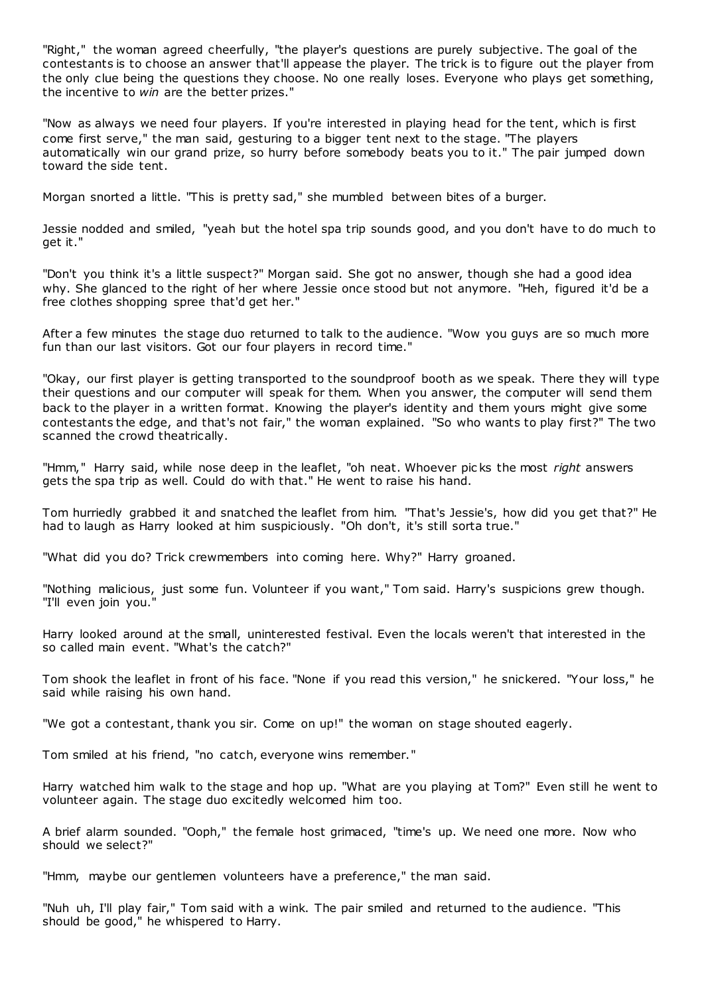"Right," the woman agreed cheerfully, "the player's questions are purely subjective. The goal of the contestants is to choose an answer that'll appease the player. The trick is to figure out the player from the only clue being the questions they choose. No one really loses. Everyone who plays get something, the incentive to *win* are the better prizes."

"Now as always we need four players. If you're interested in playing head for the tent, which is first come first serve," the man said, gesturing to a bigger tent next to the stage. "The players automatically win our grand prize, so hurry before somebody beats you to it." The pair jumped down toward the side tent.

Morgan snorted a little. "This is pretty sad," she mumbled between bites of a burger.

Jessie nodded and smiled, "yeah but the hotel spa trip sounds good, and you don't have to do much to get it."

"Don't you think it's a little suspect?" Morgan said. She got no answer, though she had a good idea why. She glanced to the right of her where Jessie once stood but not anymore. "Heh, figured it'd be a free clothes shopping spree that'd get her."

After a few minutes the stage duo returned to talk to the audience. "Wow you guys are so much more fun than our last visitors. Got our four players in record time."

"Okay, our first player is getting transported to the soundproof booth as we speak. There they will type their questions and our computer will speak for them. When you answer, the computer will send them back to the player in a written format. Knowing the player's identity and them yours might give some contestants the edge, and that's not fair," the woman explained. "So who wants to play first?" The two scanned the crowd theatrically.

"Hmm," Harry said, while nose deep in the leaflet, "oh neat. Whoever pic ks the most *right* answers gets the spa trip as well. Could do with that." He went to raise his hand.

Tom hurriedly grabbed it and snatched the leaflet from him. "That's Jessie's, how did you get that?" He had to laugh as Harry looked at him suspiciously. "Oh don't, it's still sorta true."

"What did you do? Trick crewmembers into coming here. Why?" Harry groaned.

"Nothing malicious, just some fun. Volunteer if you want," Tom said. Harry's suspicions grew though. "I'll even join you."

Harry looked around at the small, uninterested festival. Even the locals weren't that interested in the so called main event. "What's the catch?"

Tom shook the leaflet in front of his face. "None if you read this version," he snickered. "Your loss," he said while raising his own hand.

"We got a contestant, thank you sir. Come on up!" the woman on stage shouted eagerly.

Tom smiled at his friend, "no catch, everyone wins remember."

Harry watched him walk to the stage and hop up. "What are you playing at Tom?" Even still he went to volunteer again. The stage duo excitedly welcomed him too.

A brief alarm sounded. "Ooph," the female host grimaced, "time's up. We need one more. Now who should we select?"

"Hmm, maybe our gentlemen volunteers have a preference," the man said.

"Nuh uh, I'll play fair," Tom said with a wink. The pair smiled and returned to the audience. "This should be good," he whispered to Harry.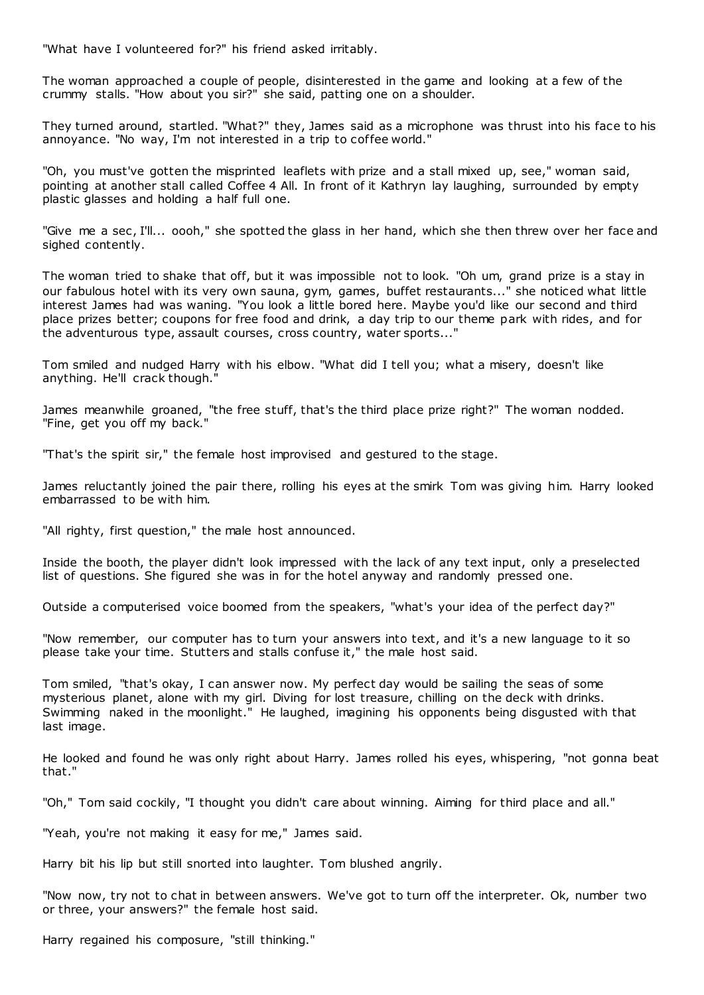"What have I volunteered for?" his friend asked irritably.

The woman approached a couple of people, disinterested in the game and looking at a few of the crummy stalls. "How about you sir?" she said, patting one on a shoulder.

They turned around, startled. "What?" they, James said as a microphone was thrust into his face to his annoyance. "No way, I'm not interested in a trip to coffee world."

"Oh, you must've gotten the misprinted leaflets with prize and a stall mixed up, see," woman said, pointing at another stall called Coffee 4 All. In front of it Kathryn lay laughing, surrounded by empty plastic glasses and holding a half full one.

"Give me a sec , I'll... oooh," she spotted the glass in her hand, which she then threw over her face and sighed contently.

The woman tried to shake that off, but it was impossible not to look. "Oh um, grand prize is a stay in our fabulous hotel with its very own sauna, gym, games, buffet restaurants..." she noticed what little interest James had was waning. "You look a little bored here. Maybe you'd like our second and third place prizes better; coupons for free food and drink, a day trip to our theme park with rides, and for the adventurous type, assault courses, cross country, water sports..."

Tom smiled and nudged Harry with his elbow. "What did I tell you; what a misery, doesn't like anything. He'll crack though."

James meanwhile groaned, "the free stuff, that's the third place prize right?" The woman nodded. "Fine, get you off my back."

"That's the spirit sir," the female host improvised and gestured to the stage.

James reluctantly joined the pair there, rolling his eyes at the smirk Tom was giving him. Harry looked embarrassed to be with him.

"All righty, first question," the male host announced.

Inside the booth, the player didn't look impressed with the lack of any text input, only a preselected list of questions. She figured she was in for the hotel anyway and randomly pressed one.

Outside a computerised voice boomed from the speakers, "what's your idea of the perfect day?"

"Now remember, our computer has to turn your answers into text, and it's a new language to it so please take your time. Stutters and stalls confuse it," the male host said.

Tom smiled, "that's okay, I can answer now. My perfect day would be sailing the seas of some mysterious planet, alone with my girl. Diving for lost treasure, chilling on the deck with drinks. Swimming naked in the moonlight." He laughed, imagining his opponents being disgusted with that last image.

He looked and found he was only right about Harry. James rolled his eyes, whispering, "not gonna beat that."

"Oh," Tom said cockily, "I thought you didn't care about winning. Aiming for third place and all."

"Yeah, you're not making it easy for me," James said.

Harry bit his lip but still snorted into laughter. Tom blushed angrily.

"Now now, try not to chat in between answers. We've got to turn off the interpreter. Ok, number two or three, your answers?" the female host said.

Harry regained his composure, "still thinking."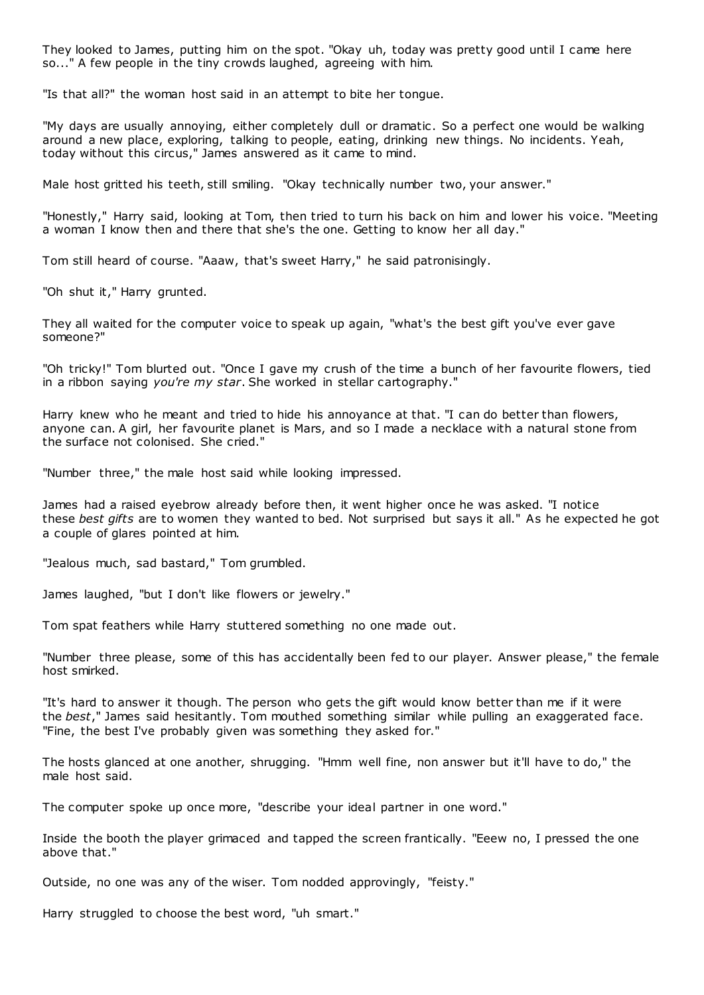They looked to James, putting him on the spot. "Okay uh, today was pretty good until I came here so..." A few people in the tiny crowds laughed, agreeing with him.

"Is that all?" the woman host said in an attempt to bite her tongue.

"My days are usually annoying, either completely dull or dramatic. So a perfect one would be walking around a new place, exploring, talking to people, eating, drinking new things. No incidents. Yeah, today without this circus," James answered as it came to mind.

Male host gritted his teeth, still smiling. "Okay technically number two, your answer."

"Honestly," Harry said, looking at Tom, then tried to turn his back on him and lower his voice. "Meeting a woman I know then and there that she's the one. Getting to know her all day."

Tom still heard of course. "Aaaw, that's sweet Harry," he said patronisingly.

"Oh shut it," Harry grunted.

They all waited for the computer voice to speak up again, "what's the best gift you've ever gave someone?"

"Oh tricky!" Tom blurted out. "Once I gave my crush of the time a bunch of her favourite flowers, tied in a ribbon saying *you're my star*. She worked in stellar cartography."

Harry knew who he meant and tried to hide his annoyance at that. "I can do better than flowers, anyone can. A girl, her favourite planet is Mars, and so I made a necklace with a natural stone from the surface not colonised. She cried."

"Number three," the male host said while looking impressed.

James had a raised eyebrow already before then, it went higher once he was asked. "I notice these *best gifts* are to women they wanted to bed. Not surprised but says it all." As he expected he got a couple of glares pointed at him.

"Jealous much, sad bastard," Tom grumbled.

James laughed, "but I don't like flowers or jewelry."

Tom spat feathers while Harry stuttered something no one made out.

"Number three please, some of this has accidentally been fed to our player. Answer please," the female host smirked.

"It's hard to answer it though. The person who gets the gift would know better than me if it were the *best*," James said hesitantly. Tom mouthed something similar while pulling an exaggerated face. "Fine, the best I've probably given was something they asked for."

The hosts glanced at one another, shrugging. "Hmm well fine, non answer but it'll have to do," the male host said.

The computer spoke up once more, "describe your ideal partner in one word."

Inside the booth the player grimaced and tapped the screen frantically. "Eeew no, I pressed the one above that."

Outside, no one was any of the wiser. Tom nodded approvingly, "feisty."

Harry struggled to choose the best word, "uh smart."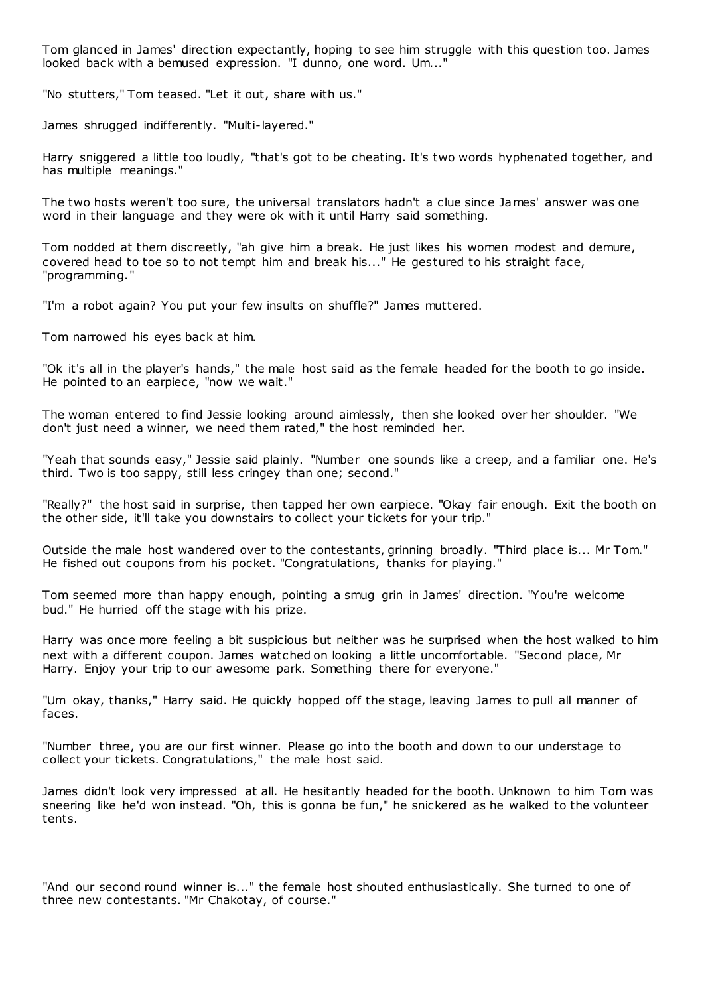Tom glanced in James' direction expectantly, hoping to see him struggle with this question too. James looked back with a bemused expression. "I dunno, one word. Um..."

"No stutters," Tom teased. "Let it out, share with us."

James shrugged indifferently. "Multi-layered."

Harry sniggered a little too loudly, "that's got to be cheating. It's two words hyphenated together, and has multiple meanings."

The two hosts weren't too sure, the universal translators hadn't a clue since James' answer was one word in their language and they were ok with it until Harry said something.

Tom nodded at them discreetly, "ah give him a break. He just likes his women modest and demure, covered head to toe so to not tempt him and break his..." He gestured to his straight face, "programming."

"I'm a robot again? You put your few insults on shuffle?" James muttered.

Tom narrowed his eyes back at him.

"Ok it's all in the player's hands," the male host said as the female headed for the booth to go inside. He pointed to an earpiece, "now we wait."

The woman entered to find Jessie looking around aimlessly, then she looked over her shoulder. "We don't just need a winner, we need them rated," the host reminded her.

"Yeah that sounds easy," Jessie said plainly. "Number one sounds like a creep, and a familiar one. He's third. Two is too sappy, still less cringey than one; second."

"Really?" the host said in surprise, then tapped her own earpiece. "Okay fair enough. Exit the booth on the other side, it'll take you downstairs to collect your tickets for your trip."

Outside the male host wandered over to the contestants, grinning broadly. "Third place is... Mr Tom." He fished out coupons from his pocket. "Congratulations, thanks for playing."

Tom seemed more than happy enough, pointing a smug grin in James' direction. "You're welcome bud." He hurried off the stage with his prize.

Harry was once more feeling a bit suspicious but neither was he surprised when the host walked to him next with a different coupon. James watched on looking a little uncomfortable. "Second place, Mr Harry. Enjoy your trip to our awesome park. Something there for everyone."

"Um okay, thanks," Harry said. He quickly hopped off the stage, leaving James to pull all manner of faces.

"Number three, you are our first winner. Please go into the booth and down to our understage to collect your tickets. Congratulations," the male host said.

James didn't look very impressed at all. He hesitantly headed for the booth. Unknown to him Tom was sneering like he'd won instead. "Oh, this is gonna be fun," he snickered as he walked to the volunteer tents.

"And our second round winner is..." the female host shouted enthusiastically. She turned to one of three new contestants. "Mr Chakotay, of course."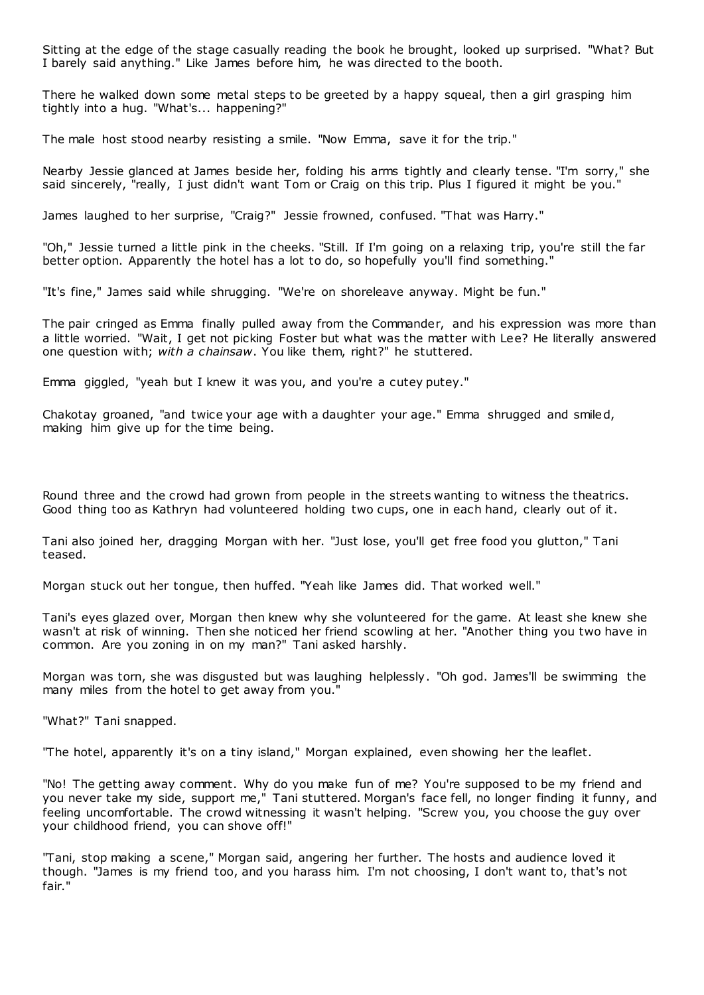Sitting at the edge of the stage casually reading the book he brought, looked up surprised. "What? But I barely said anything." Like James before him, he was directed to the booth.

There he walked down some metal steps to be greeted by a happy squeal, then a girl grasping him tightly into a hug. "What's... happening?"

The male host stood nearby resisting a smile. "Now Emma, save it for the trip."

Nearby Jessie glanced at James beside her, folding his arms tightly and clearly tense. "I'm sorry," she said sincerely, "really, I just didn't want Tom or Craig on this trip. Plus I figured it might be you."

James laughed to her surprise, "Craig?" Jessie frowned, confused. "That was Harry."

"Oh," Jessie turned a little pink in the cheeks. "Still. If I'm going on a relaxing trip, you're still the far better option. Apparently the hotel has a lot to do, so hopefully you'll find something."

"It's fine," James said while shrugging. "We're on shoreleave anyway. Might be fun."

The pair cringed as Emma finally pulled away from the Commander, and his expression was more than a little worried. "Wait, I get not picking Foster but what was the matter with Lee? He literally answered one question with; *with a chainsaw*. You like them, right?" he stuttered.

Emma giggled, "yeah but I knew it was you, and you're a cutey putey."

Chakotay groaned, "and twice your age with a daughter your age." Emma shrugged and smiled, making him give up for the time being.

Round three and the crowd had grown from people in the streets wanting to witness the theatrics. Good thing too as Kathryn had volunteered holding two cups, one in each hand, clearly out of it.

Tani also joined her, dragging Morgan with her. "Just lose, you'll get free food you glutton," Tani teased.

Morgan stuck out her tongue, then huffed. "Yeah like James did. That worked well."

Tani's eyes glazed over, Morgan then knew why she volunteered for the game. At least she knew she wasn't at risk of winning. Then she noticed her friend scowling at her. "Another thing you two have in common. Are you zoning in on my man?" Tani asked harshly.

Morgan was torn, she was disgusted but was laughing helplessly. "Oh god. James'll be swimming the many miles from the hotel to get away from you."

"What?" Tani snapped.

"The hotel, apparently it's on a tiny island," Morgan explained, even showing her the leaflet.

"No! The getting away comment. Why do you make fun of me? You're supposed to be my friend and you never take my side, support me," Tani stuttered. Morgan's face fell, no longer finding it funny, and feeling uncomfortable. The crowd witnessing it wasn't helping. "Screw you, you choose the guy over your childhood friend, you can shove off!"

"Tani, stop making a scene," Morgan said, angering her further. The hosts and audience loved it though. "James is my friend too, and you harass him. I'm not choosing, I don't want to, that's not fair."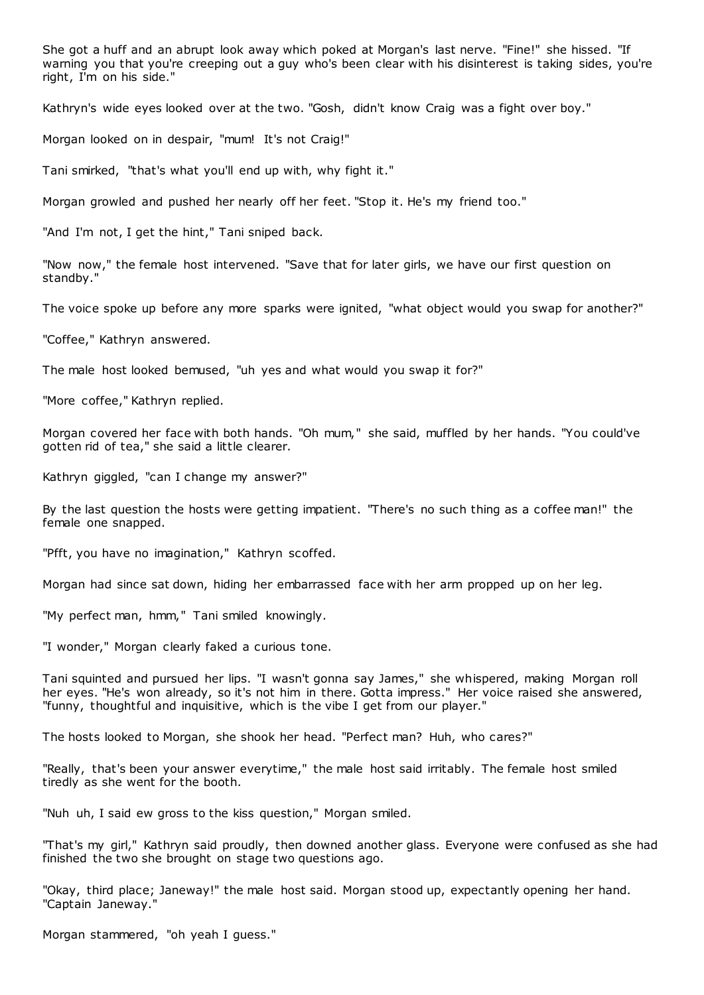She got a huff and an abrupt look away which poked at Morgan's last nerve. "Fine!" she hissed. "If warning you that you're creeping out a guy who's been clear with his disinterest is taking sides, you're right, I'm on his side."

Kathryn's wide eyes looked over at the two. "Gosh, didn't know Craig was a fight over boy."

Morgan looked on in despair, "mum! It's not Craig!"

Tani smirked, "that's what you'll end up with, why fight it."

Morgan growled and pushed her nearly off her feet. "Stop it. He's my friend too."

"And I'm not, I get the hint," Tani sniped back.

"Now now," the female host intervened. "Save that for later girls, we have our first question on standby."

The voice spoke up before any more sparks were ignited, "what object would you swap for another?"

"Coffee," Kathryn answered.

The male host looked bemused, "uh yes and what would you swap it for?"

"More coffee," Kathryn replied.

Morgan covered her face with both hands. "Oh mum," she said, muffled by her hands. "You could've gotten rid of tea," she said a little clearer.

Kathryn giggled, "can I change my answer?"

By the last question the hosts were getting impatient. "There's no such thing as a coffee man!" the female one snapped.

"Pfft, you have no imagination," Kathryn scoffed.

Morgan had since sat down, hiding her embarrassed face with her arm propped up on her leg.

"My perfect man, hmm," Tani smiled knowingly.

"I wonder," Morgan clearly faked a curious tone.

Tani squinted and pursued her lips. "I wasn't gonna say James," she whispered, making Morgan roll her eyes. "He's won already, so it's not him in there. Gotta impress." Her voice raised she answered, "funny, thoughtful and inquisitive, which is the vibe I get from our player."

The hosts looked to Morgan, she shook her head. "Perfect man? Huh, who cares?"

"Really, that's been your answer everytime," the male host said irritably. The female host smiled tiredly as she went for the booth.

"Nuh uh, I said ew gross to the kiss question," Morgan smiled.

"That's my girl," Kathryn said proudly, then downed another glass. Everyone were confused as she had finished the two she brought on stage two questions ago.

"Okay, third place; Janeway!" the male host said. Morgan stood up, expectantly opening her hand. "Captain Janeway."

Morgan stammered, "oh yeah I guess."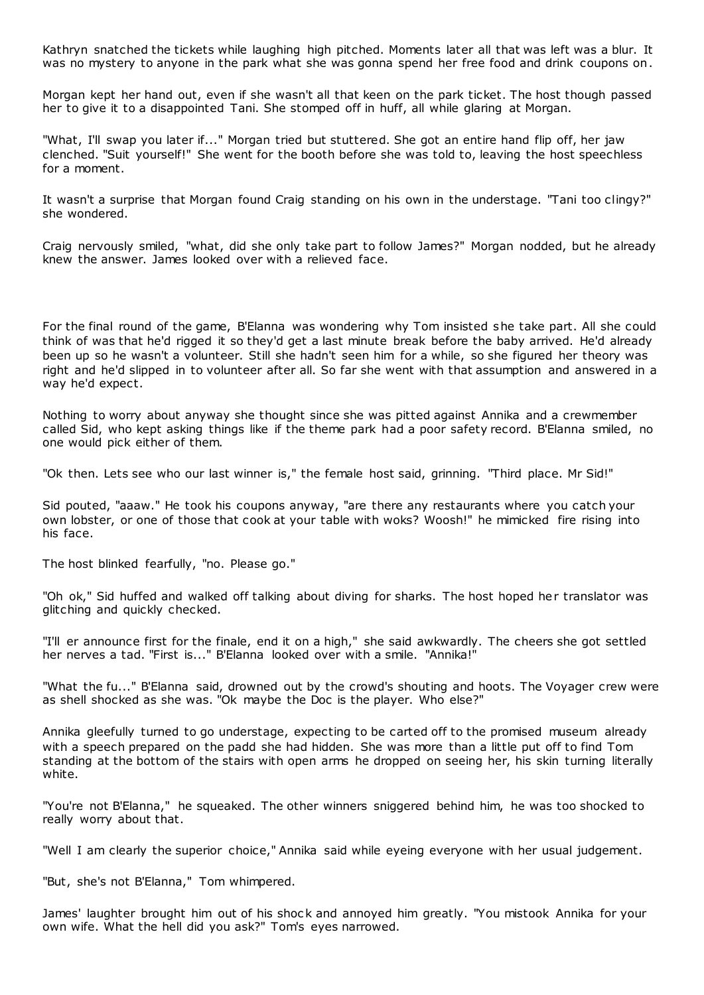Kathryn snatched the tickets while laughing high pitched. Moments later all that was left was a blur. It was no mystery to anyone in the park what she was gonna spend her free food and drink coupons on.

Morgan kept her hand out, even if she wasn't all that keen on the park ticket. The host though passed her to give it to a disappointed Tani. She stomped off in huff, all while glaring at Morgan.

"What, I'll swap you later if..." Morgan tried but stuttered. She got an entire hand flip off, her jaw clenched. "Suit yourself!" She went for the booth before she was told to, leaving the host speechless for a moment.

It wasn't a surprise that Morgan found Craig standing on his own in the understage. "Tani too clingy?" she wondered.

Craig nervously smiled, "what, did she only take part to follow James?" Morgan nodded, but he already knew the answer. James looked over with a relieved face.

For the final round of the game, B'Elanna was wondering why Tom insisted she take part. All she could think of was that he'd rigged it so they'd get a last minute break before the baby arrived. He'd already been up so he wasn't a volunteer. Still she hadn't seen him for a while, so she figured her theory was right and he'd slipped in to volunteer after all. So far she went with that assumption and answered in a way he'd expect.

Nothing to worry about anyway she thought since she was pitted against Annika and a crewmember called Sid, who kept asking things like if the theme park had a poor safety record. B'Elanna smiled, no one would pick either of them.

"Ok then. Lets see who our last winner is," the female host said, grinning. "Third place. Mr Sid!"

Sid pouted, "aaaw." He took his coupons anyway, "are there any restaurants where you catch your own lobster, or one of those that cook at your table with woks? Woosh!" he mimicked fire rising into his face.

The host blinked fearfully, "no. Please go."

"Oh ok," Sid huffed and walked off talking about diving for sharks. The host hoped her translator was glitching and quickly checked.

"I'll er announce first for the finale, end it on a high," she said awkwardly. The cheers she got settled her nerves a tad. "First is..." B'Elanna looked over with a smile. "Annika!"

"What the fu..." B'Elanna said, drowned out by the crowd's shouting and hoots. The Voyager crew were as shell shocked as she was. "Ok maybe the Doc is the player. Who else?"

Annika gleefully turned to go understage, expecting to be carted off to the promised museum already with a speech prepared on the padd she had hidden. She was more than a little put off to find Tom standing at the bottom of the stairs with open arms he dropped on seeing her, his skin turning literally white.

"You're not B'Elanna," he squeaked. The other winners sniggered behind him, he was too shocked to really worry about that.

"Well I am clearly the superior choice," Annika said while eyeing everyone with her usual judgement.

"But, she's not B'Elanna," Tom whimpered.

James' laughter brought him out of his shock and annoyed him greatly. "You mistook Annika for your own wife. What the hell did you ask?" Tom's eyes narrowed.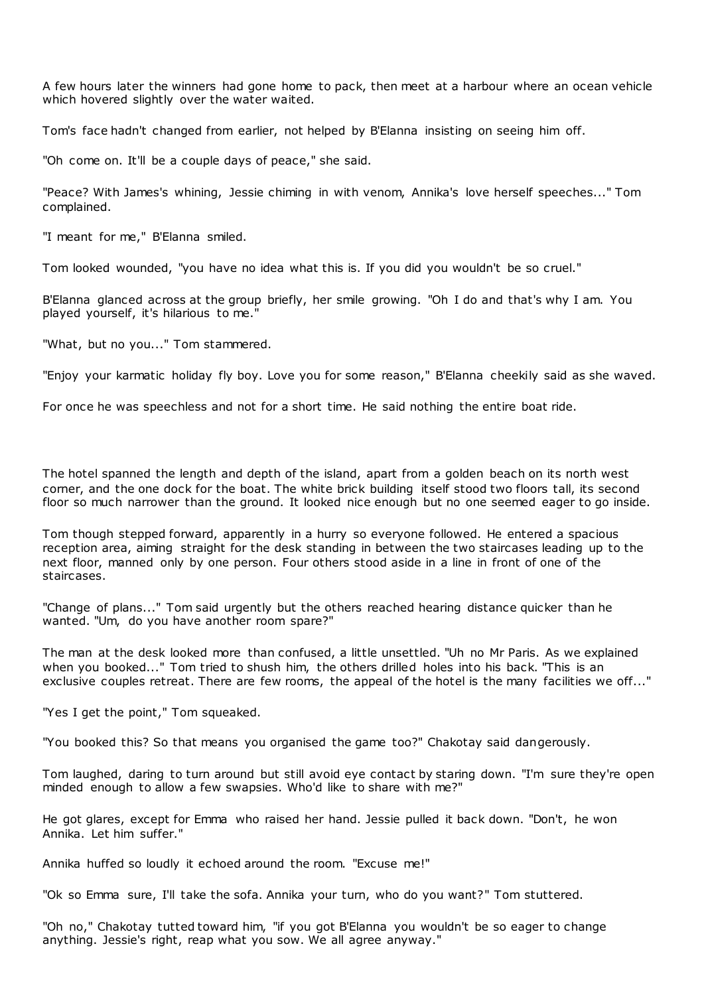A few hours later the winners had gone home to pack, then meet at a harbour where an ocean vehicle which hovered slightly over the water waited.

Tom's face hadn't changed from earlier, not helped by B'Elanna insisting on seeing him off.

"Oh come on. It'll be a couple days of peace," she said.

"Peace? With James's whining, Jessie chiming in with venom, Annika's love herself speeches..." Tom complained.

"I meant for me," B'Elanna smiled.

Tom looked wounded, "you have no idea what this is. If you did you wouldn't be so cruel."

B'Elanna glanced across at the group briefly, her smile growing. "Oh I do and that's why I am. You played yourself, it's hilarious to me."

"What, but no you..." Tom stammered.

"Enjoy your karmatic holiday fly boy. Love you for some reason," B'Elanna cheekily said as she waved.

For once he was speechless and not for a short time. He said nothing the entire boat ride.

The hotel spanned the length and depth of the island, apart from a golden beach on its north west corner, and the one dock for the boat. The white brick building itself stood two floors tall, its second floor so much narrower than the ground. It looked nice enough but no one seemed eager to go inside.

Tom though stepped forward, apparently in a hurry so everyone followed. He entered a spacious reception area, aiming straight for the desk standing in between the two staircases leading up to the next floor, manned only by one person. Four others stood aside in a line in front of one of the staircases.

"Change of plans..." Tom said urgently but the others reached hearing distance quicker than he wanted. "Um, do you have another room spare?"

The man at the desk looked more than confused, a little unsettled. "Uh no Mr Paris. As we explained when you booked..." Tom tried to shush him, the others drilled holes into his back. "This is an exclusive couples retreat. There are few rooms, the appeal of the hotel is the many facilities we off..."

"Yes I get the point," Tom squeaked.

"You booked this? So that means you organised the game too?" Chakotay said dangerously.

Tom laughed, daring to turn around but still avoid eye contact by staring down. "I'm sure they're open minded enough to allow a few swapsies. Who'd like to share with me?"

He got glares, except for Emma who raised her hand. Jessie pulled it back down. "Don't, he won Annika. Let him suffer."

Annika huffed so loudly it echoed around the room. "Excuse me!"

"Ok so Emma sure, I'll take the sofa. Annika your turn, who do you want?" Tom stuttered.

"Oh no," Chakotay tutted toward him, "if you got B'Elanna you wouldn't be so eager to change anything. Jessie's right, reap what you sow. We all agree anyway."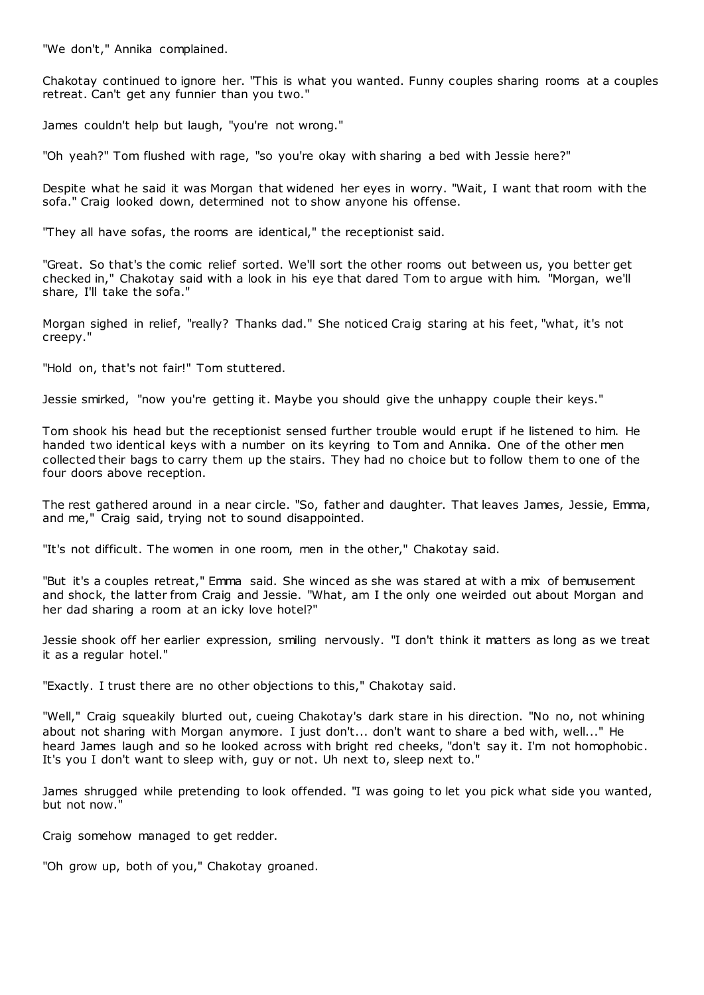"We don't," Annika complained.

Chakotay continued to ignore her. "This is what you wanted. Funny couples sharing rooms at a couples retreat. Can't get any funnier than you two."

James couldn't help but laugh, "you're not wrong."

"Oh yeah?" Tom flushed with rage, "so you're okay with sharing a bed with Jessie here?"

Despite what he said it was Morgan that widened her eyes in worry. "Wait, I want that room with the sofa." Craig looked down, determined not to show anyone his offense.

"They all have sofas, the rooms are identical," the receptionist said.

"Great. So that's the comic relief sorted. We'll sort the other rooms out between us, you better get checked in," Chakotay said with a look in his eye that dared Tom to argue with him. "Morgan, we'll share, I'll take the sofa."

Morgan sighed in relief, "really? Thanks dad." She noticed Craig staring at his feet, "what, it's not creepy."

"Hold on, that's not fair!" Tom stuttered.

Jessie smirked, "now you're getting it. Maybe you should give the unhappy couple their keys."

Tom shook his head but the receptionist sensed further trouble would erupt if he listened to him. He handed two identical keys with a number on its keyring to Tom and Annika. One of the other men collected their bags to carry them up the stairs. They had no choice but to follow them to one of the four doors above reception.

The rest gathered around in a near circle. "So, father and daughter. That leaves James, Jessie, Emma, and me," Craig said, trying not to sound disappointed.

"It's not difficult. The women in one room, men in the other," Chakotay said.

"But it's a couples retreat," Emma said. She winced as she was stared at with a mix of bemusement and shock, the latter from Craig and Jessie. "What, am I the only one weirded out about Morgan and her dad sharing a room at an icky love hotel?"

Jessie shook off her earlier expression, smiling nervously. "I don't think it matters as long as we treat it as a regular hotel."

"Exactly. I trust there are no other objections to this," Chakotay said.

"Well," Craig squeakily blurted out, cueing Chakotay's dark stare in his direction. "No no, not whining about not sharing with Morgan anymore. I just don't... don't want to share a bed with, well..." He heard James laugh and so he looked across with bright red cheeks, "don't say it. I'm not homophobic . It's you I don't want to sleep with, guy or not. Uh next to, sleep next to."

James shrugged while pretending to look offended. "I was going to let you pick what side you wanted, but not now."

Craig somehow managed to get redder.

"Oh grow up, both of you," Chakotay groaned.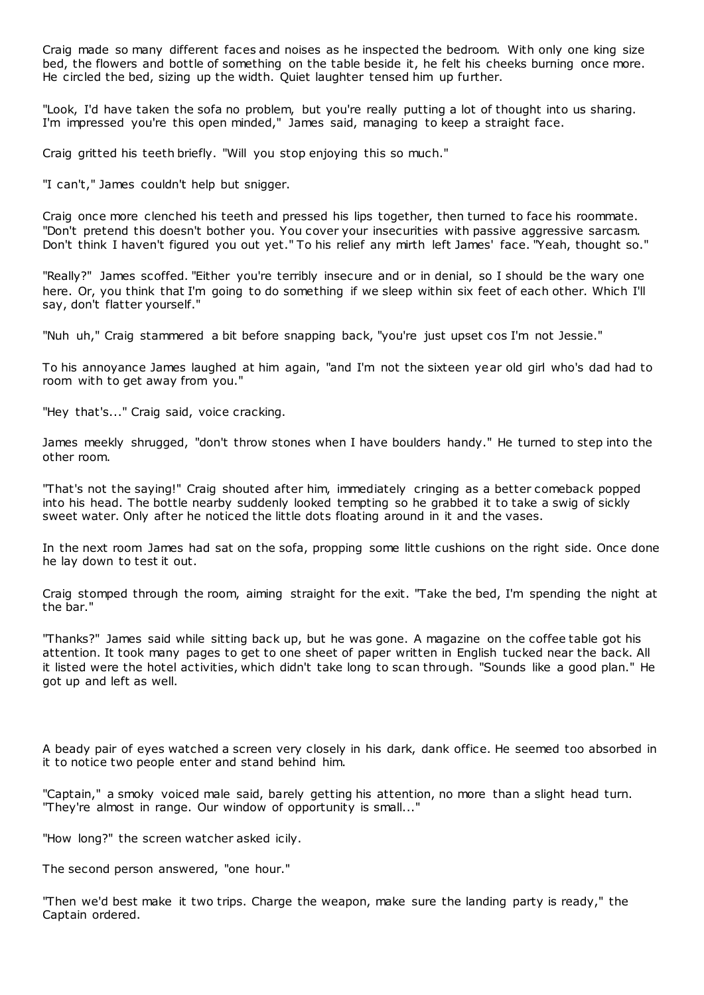Craig made so many different faces and noises as he inspected the bedroom. With only one king size bed, the flowers and bottle of something on the table beside it, he felt his cheeks burning once more. He circled the bed, sizing up the width. Quiet laughter tensed him up further.

"Look, I'd have taken the sofa no problem, but you're really putting a lot of thought into us sharing. I'm impressed you're this open minded," James said, managing to keep a straight face.

Craig gritted his teeth briefly. "Will you stop enjoying this so much."

"I can't," James couldn't help but snigger.

Craig once more clenched his teeth and pressed his lips together, then turned to face his roommate. "Don't pretend this doesn't bother you. You cover your insecurities with passive aggressive sarcasm. Don't think I haven't figured you out yet." To his relief any mirth left James' face. "Yeah, thought so."

"Really?" James scoffed. "Either you're terribly insecure and or in denial, so I should be the wary one here. Or, you think that I'm going to do something if we sleep within six feet of each other. Which I'll say, don't flatter yourself."

"Nuh uh," Craig stammered a bit before snapping back, "you're just upset cos I'm not Jessie."

To his annoyance James laughed at him again, "and I'm not the sixteen year old girl who's dad had to room with to get away from you."

"Hey that's..." Craig said, voice cracking.

James meekly shrugged, "don't throw stones when I have boulders handy." He turned to step into the other room.

"That's not the saying!" Craig shouted after him, immediately cringing as a better comeback popped into his head. The bottle nearby suddenly looked tempting so he grabbed it to take a swig of sickly sweet water. Only after he noticed the little dots floating around in it and the vases.

In the next room James had sat on the sofa, propping some little cushions on the right side. Once done he lay down to test it out.

Craig stomped through the room, aiming straight for the exit. "Take the bed, I'm spending the night at the bar."

"Thanks?" James said while sitting back up, but he was gone. A magazine on the coffee table got his attention. It took many pages to get to one sheet of paper written in English tucked near the back. All it listed were the hotel activities, which didn't take long to scan through. "Sounds like a good plan." He got up and left as well.

A beady pair of eyes watched a screen very closely in his dark, dank office. He seemed too absorbed in it to notice two people enter and stand behind him.

"Captain," a smoky voiced male said, barely getting his attention, no more than a slight head turn. "They're almost in range. Our window of opportunity is small..."

"How long?" the screen watcher asked icily.

The second person answered, "one hour."

"Then we'd best make it two trips. Charge the weapon, make sure the landing party is ready," the Captain ordered.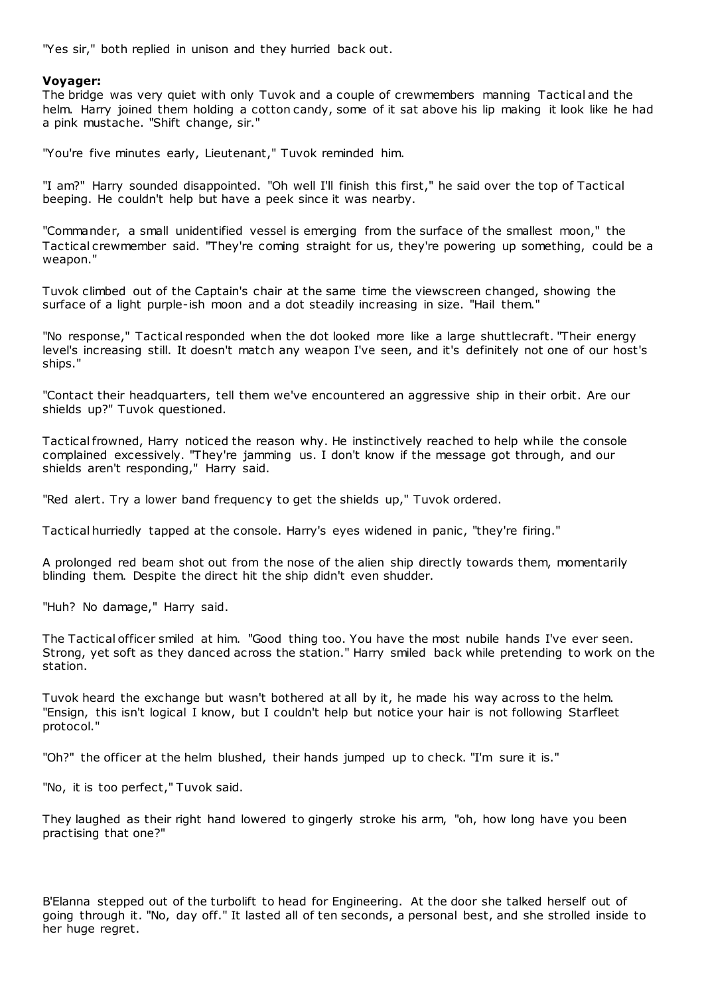"Yes sir," both replied in unison and they hurried back out.

# **Voyager:**

The bridge was very quiet with only Tuvok and a couple of crewmembers manning Tactical and the helm. Harry joined them holding a cotton candy, some of it sat above his lip making it look like he had a pink mustache. "Shift change, sir."

"You're five minutes early, Lieutenant," Tuvok reminded him.

"I am?" Harry sounded disappointed. "Oh well I'll finish this first," he said over the top of Tactical beeping. He couldn't help but have a peek since it was nearby.

"Commander, a small unidentified vessel is emerging from the surface of the smallest moon," the Tactical crewmember said. "They're coming straight for us, they're powering up something, could be a weapon."

Tuvok climbed out of the Captain's chair at the same time the viewscreen changed, showing the surface of a light purple-ish moon and a dot steadily increasing in size. "Hail them."

"No response," Tactical responded when the dot looked more like a large shuttlecraft. "Their energy level's increasing still. It doesn't match any weapon I've seen, and it's definitely not one of our host's ships."

"Contact their headquarters, tell them we've encountered an aggressive ship in their orbit. Are our shields up?" Tuvok questioned.

Tactical frowned, Harry noticed the reason why. He instinctively reached to help while the console complained excessively. "They're jamming us. I don't know if the message got through, and our shields aren't responding," Harry said.

"Red alert. Try a lower band frequency to get the shields up," Tuvok ordered.

Tactical hurriedly tapped at the console. Harry's eyes widened in panic , "they're firing."

A prolonged red beam shot out from the nose of the alien ship directly towards them, momentarily blinding them. Despite the direct hit the ship didn't even shudder.

"Huh? No damage," Harry said.

The Tactical officer smiled at him. "Good thing too. You have the most nubile hands I've ever seen. Strong, yet soft as they danced across the station." Harry smiled back while pretending to work on the station.

Tuvok heard the exchange but wasn't bothered at all by it, he made his way across to the helm. "Ensign, this isn't logical I know, but I couldn't help but notice your hair is not following Starfleet protocol."

"Oh?" the officer at the helm blushed, their hands jumped up to check. "I'm sure it is."

"No, it is too perfect," Tuvok said.

They laughed as their right hand lowered to gingerly stroke his arm, "oh, how long have you been practising that one?"

B'Elanna stepped out of the turbolift to head for Engineering. At the door she talked herself out of going through it. "No, day off." It lasted all of ten seconds, a personal best, and she strolled inside to her huge regret.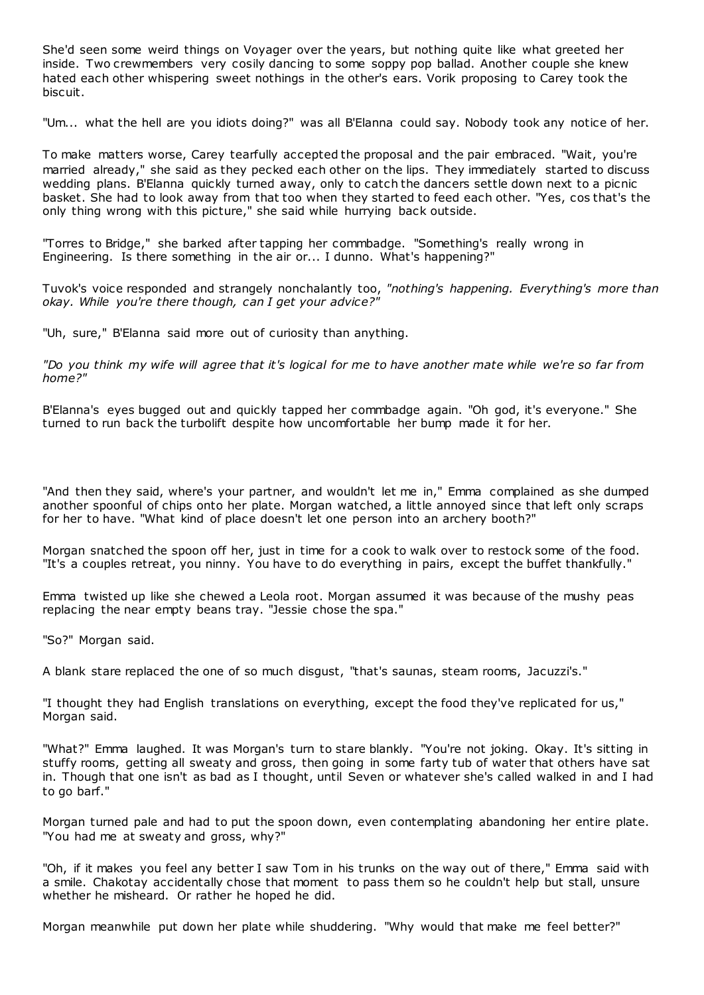She'd seen some weird things on Voyager over the years, but nothing quite like what greeted her inside. Two crewmembers very cosily dancing to some soppy pop ballad. Another couple she knew hated each other whispering sweet nothings in the other's ears. Vorik proposing to Carey took the biscuit.

"Um... what the hell are you idiots doing?" was all B'Elanna could say. Nobody took any notice of her.

To make matters worse, Carey tearfully accepted the proposal and the pair embraced. "Wait, you're married already," she said as they pecked each other on the lips. They immediately started to discuss wedding plans. B'Elanna quickly turned away, only to catch the dancers settle down next to a picnic basket. She had to look away from that too when they started to feed each other. "Yes, cos that's the only thing wrong with this picture," she said while hurrying back outside.

"Torres to Bridge," she barked after tapping her commbadge. "Something's really wrong in Engineering. Is there something in the air or... I dunno. What's happening?"

Tuvok's voice responded and strangely nonchalantly too, *"nothing's happening. Everything's more than okay. While you're there though, can I get your advice?"*

"Uh, sure," B'Elanna said more out of curiosity than anything.

*"Do you think my wife will agree that it's logical for me to have another mate while we're so far from home?"*

B'Elanna's eyes bugged out and quickly tapped her commbadge again. "Oh god, it's everyone." She turned to run back the turbolift despite how uncomfortable her bump made it for her.

"And then they said, where's your partner, and wouldn't let me in," Emma complained as she dumped another spoonful of chips onto her plate. Morgan watched, a little annoyed since that left only scraps for her to have. "What kind of place doesn't let one person into an archery booth?"

Morgan snatched the spoon off her, just in time for a cook to walk over to restock some of the food. "It's a couples retreat, you ninny. You have to do everything in pairs, except the buffet thankfully."

Emma twisted up like she chewed a Leola root. Morgan assumed it was because of the mushy peas replacing the near empty beans tray. "Jessie chose the spa."

"So?" Morgan said.

A blank stare replaced the one of so much disgust, "that's saunas, steam rooms, Jacuzzi's."

"I thought they had English translations on everything, except the food they've replicated for us," Morgan said.

"What?" Emma laughed. It was Morgan's turn to stare blankly. "You're not joking. Okay. It's sitting in stuffy rooms, getting all sweaty and gross, then going in some farty tub of water that others have sat in. Though that one isn't as bad as I thought, until Seven or whatever she's called walked in and I had to go barf."

Morgan turned pale and had to put the spoon down, even contemplating abandoning her entire plate. "You had me at sweaty and gross, why?"

"Oh, if it makes you feel any better I saw Tom in his trunks on the way out of there," Emma said with a smile. Chakotay accidentally chose that moment to pass them so he couldn't help but stall, unsure whether he misheard. Or rather he hoped he did.

Morgan meanwhile put down her plate while shuddering. "Why would that make me feel better?"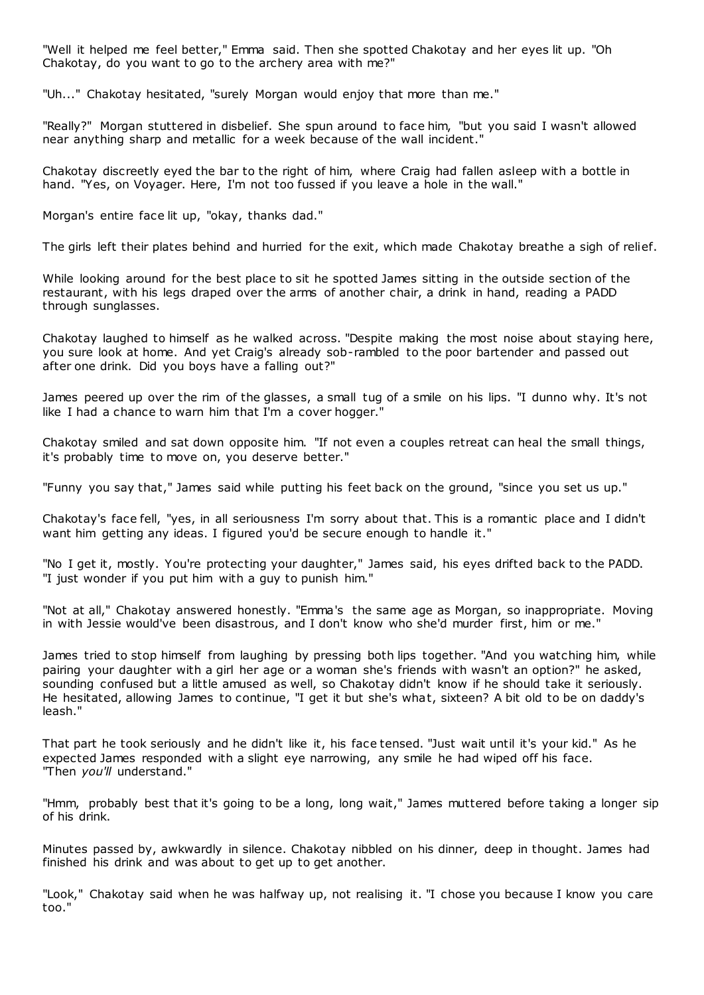"Well it helped me feel better," Emma said. Then she spotted Chakotay and her eyes lit up. "Oh Chakotay, do you want to go to the archery area with me?"

"Uh..." Chakotay hesitated, "surely Morgan would enjoy that more than me."

"Really?" Morgan stuttered in disbelief. She spun around to face him, "but you said I wasn't allowed near anything sharp and metallic for a week because of the wall incident."

Chakotay discreetly eyed the bar to the right of him, where Craig had fallen asleep with a bottle in hand. "Yes, on Voyager. Here, I'm not too fussed if you leave a hole in the wall."

Morgan's entire face lit up, "okay, thanks dad."

The girls left their plates behind and hurried for the exit, which made Chakotay breathe a sigh of relief.

While looking around for the best place to sit he spotted James sitting in the outside section of the restaurant, with his legs draped over the arms of another chair, a drink in hand, reading a PADD through sunglasses.

Chakotay laughed to himself as he walked across. "Despite making the most noise about staying here, you sure look at home. And yet Craig's already sob-rambled to the poor bartender and passed out after one drink. Did you boys have a falling out?"

James peered up over the rim of the glasses, a small tug of a smile on his lips. "I dunno why. It's not like I had a chance to warn him that I'm a cover hogger."

Chakotay smiled and sat down opposite him. "If not even a couples retreat can heal the small things, it's probably time to move on, you deserve better."

"Funny you say that," James said while putting his feet back on the ground, "since you set us up."

Chakotay's face fell, "yes, in all seriousness I'm sorry about that. This is a romantic place and I didn't want him getting any ideas. I figured you'd be secure enough to handle it."

"No I get it, mostly. You're protecting your daughter," James said, his eyes drifted back to the PADD. "I just wonder if you put him with a guy to punish him."

"Not at all," Chakotay answered honestly. "Emma's the same age as Morgan, so inappropriate. Moving in with Jessie would've been disastrous, and I don't know who she'd murder first, him or me."

James tried to stop himself from laughing by pressing both lips together. "And you watching him, while pairing your daughter with a girl her age or a woman she's friends with wasn't an option?" he asked, sounding confused but a little amused as well, so Chakotay didn't know if he should take it seriously. He hesitated, allowing James to continue, "I get it but she's what, sixteen? A bit old to be on daddy's leash."

That part he took seriously and he didn't like it, his face tensed. "Just wait until it's your kid." As he expected James responded with a slight eye narrowing, any smile he had wiped off his face. "Then *you'll* understand."

"Hmm, probably best that it's going to be a long, long wait," James muttered before taking a longer sip of his drink.

Minutes passed by, awkwardly in silence. Chakotay nibbled on his dinner, deep in thought. James had finished his drink and was about to get up to get another.

"Look," Chakotay said when he was halfway up, not realising it. "I chose you because I know you care too."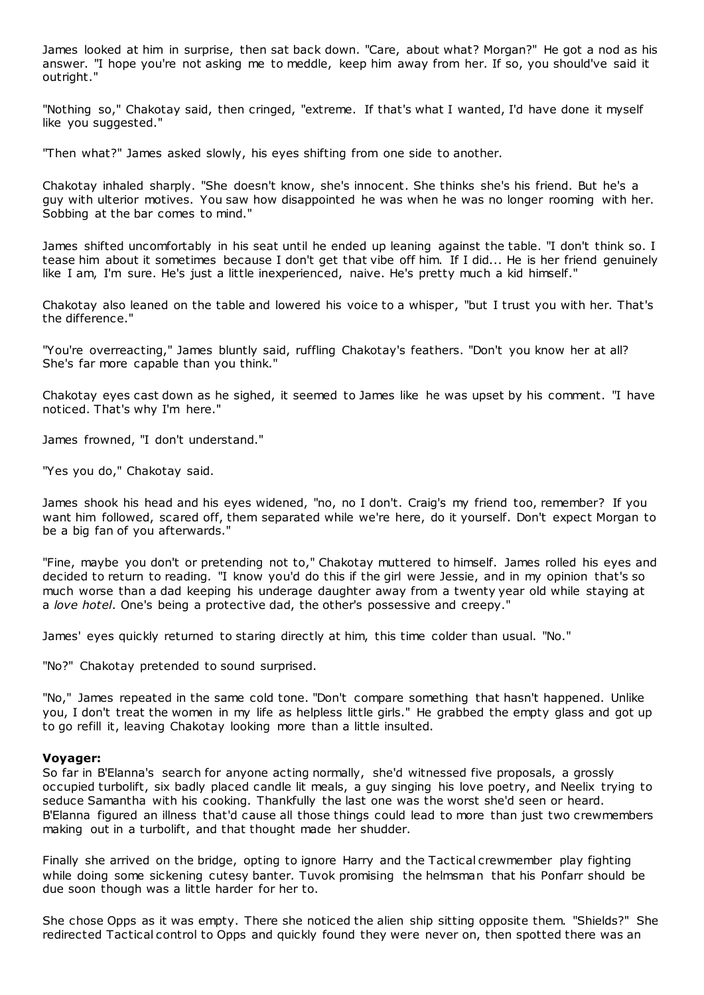James looked at him in surprise, then sat back down. "Care, about what? Morgan?" He got a nod as his answer. "I hope you're not asking me to meddle, keep him away from her. If so, you should've said it outright."

"Nothing so," Chakotay said, then cringed, "extreme. If that's what I wanted, I'd have done it myself like you suggested."

"Then what?" James asked slowly, his eyes shifting from one side to another.

Chakotay inhaled sharply. "She doesn't know, she's innocent. She thinks she's his friend. But he's a guy with ulterior motives. You saw how disappointed he was when he was no longer rooming with her. Sobbing at the bar comes to mind."

James shifted uncomfortably in his seat until he ended up leaning against the table. "I don't think so. I tease him about it sometimes because I don't get that vibe off him. If I did... He is her friend genuinely like I am, I'm sure. He's just a little inexperienced, naive. He's pretty much a kid himself."

Chakotay also leaned on the table and lowered his voice to a whisper, "but I trust you with her. That's the difference."

"You're overreacting," James bluntly said, ruffling Chakotay's feathers. "Don't you know her at all? She's far more capable than you think."

Chakotay eyes cast down as he sighed, it seemed to James like he was upset by his comment. "I have noticed. That's why I'm here."

James frowned, "I don't understand."

"Yes you do," Chakotay said.

James shook his head and his eyes widened, "no, no I don't. Craig's my friend too, remember? If you want him followed, scared off, them separated while we're here, do it yourself. Don't expect Morgan to be a big fan of you afterwards."

"Fine, maybe you don't or pretending not to," Chakotay muttered to himself. James rolled his eyes and decided to return to reading. "I know you'd do this if the girl were Jessie, and in my opinion that's so much worse than a dad keeping his underage daughter away from a twenty year old while staying at a *love hotel*. One's being a protective dad, the other's possessive and creepy."

James' eyes quickly returned to staring directly at him, this time colder than usual. "No."

"No?" Chakotay pretended to sound surprised.

"No," James repeated in the same cold tone. "Don't compare something that hasn't happened. Unlike you, I don't treat the women in my life as helpless little girls." He grabbed the empty glass and got up to go refill it, leaving Chakotay looking more than a little insulted.

### **Voyager:**

So far in B'Elanna's search for anyone acting normally, she'd witnessed five proposals, a grossly occupied turbolift, six badly placed candle lit meals, a guy singing his love poetry, and Neelix trying to seduce Samantha with his cooking. Thankfully the last one was the worst she'd seen or heard. B'Elanna figured an illness that'd cause all those things could lead to more than just two crewmembers making out in a turbolift, and that thought made her shudder.

Finally she arrived on the bridge, opting to ignore Harry and the Tactical crewmember play fighting while doing some sickening cutesy banter. Tuvok promising the helmsman that his Ponfarr should be due soon though was a little harder for her to.

She chose Opps as it was empty. There she noticed the alien ship sitting opposite them. "Shields?" She redirected Tactical control to Opps and quickly found they were never on, then spotted there was an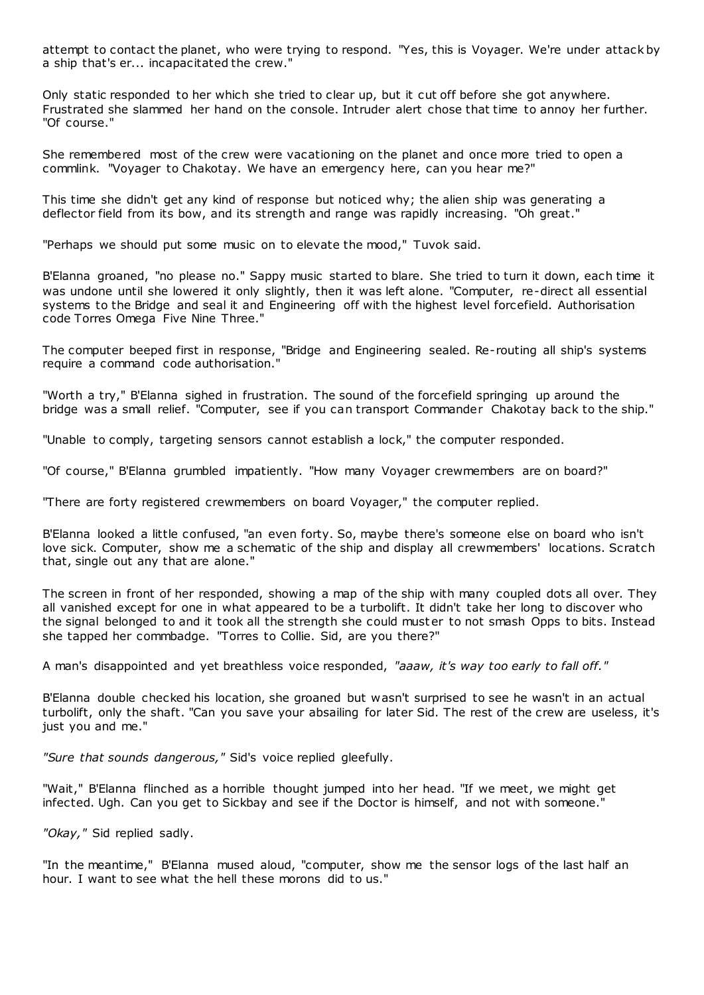attempt to contact the planet, who were trying to respond. "Yes, this is Voyager. We're under attack by a ship that's er... incapacitated the crew."

Only static responded to her which she tried to clear up, but it cut off before she got anywhere. Frustrated she slammed her hand on the console. Intruder alert chose that time to annoy her further. "Of course."

She remembered most of the crew were vacationing on the planet and once more tried to open a commlink. "Voyager to Chakotay. We have an emergency here, can you hear me?"

This time she didn't get any kind of response but noticed why; the alien ship was generating a deflector field from its bow, and its strength and range was rapidly increasing. "Oh great."

"Perhaps we should put some music on to elevate the mood," Tuvok said.

B'Elanna groaned, "no please no." Sappy music started to blare. She tried to turn it down, each time it was undone until she lowered it only slightly, then it was left alone. "Computer, re-direct all essential systems to the Bridge and seal it and Engineering off with the highest level forcefield. Authorisation code Torres Omega Five Nine Three."

The computer beeped first in response, "Bridge and Engineering sealed. Re-routing all ship's systems require a command code authorisation.

"Worth a try," B'Elanna sighed in frustration. The sound of the forcefield springing up around the bridge was a small relief. "Computer, see if you can transport Commander Chakotay back to the ship."

"Unable to comply, targeting sensors cannot establish a lock," the computer responded.

"Of course," B'Elanna grumbled impatiently. "How many Voyager crewmembers are on board?"

"There are forty registered crewmembers on board Voyager," the computer replied.

B'Elanna looked a little confused, "an even forty. So, maybe there's someone else on board who isn't love sick. Computer, show me a schematic of the ship and display all crewmembers' locations. Scratch that, single out any that are alone."

The screen in front of her responded, showing a map of the ship with many coupled dots all over. They all vanished except for one in what appeared to be a turbolift. It didn't take her long to discover who the signal belonged to and it took all the strength she could muster to not smash Opps to bits. Instead she tapped her commbadge. "Torres to Collie. Sid, are you there?"

A man's disappointed and yet breathless voice responded, *"aaaw, it's way too early to fall off."*

B'Elanna double checked his location, she groaned but wasn't surprised to see he wasn't in an actual turbolift, only the shaft. "Can you save your absailing for later Sid. The rest of the crew are useless, it's just you and me."

*"Sure that sounds dangerous,"* Sid's voice replied gleefully.

"Wait," B'Elanna flinched as a horrible thought jumped into her head. "If we meet, we might get infected. Ugh. Can you get to Sickbay and see if the Doctor is himself, and not with someone."

*"Okay,"* Sid replied sadly.

"In the meantime," B'Elanna mused aloud, "computer, show me the sensor logs of the last half an hour. I want to see what the hell these morons did to us."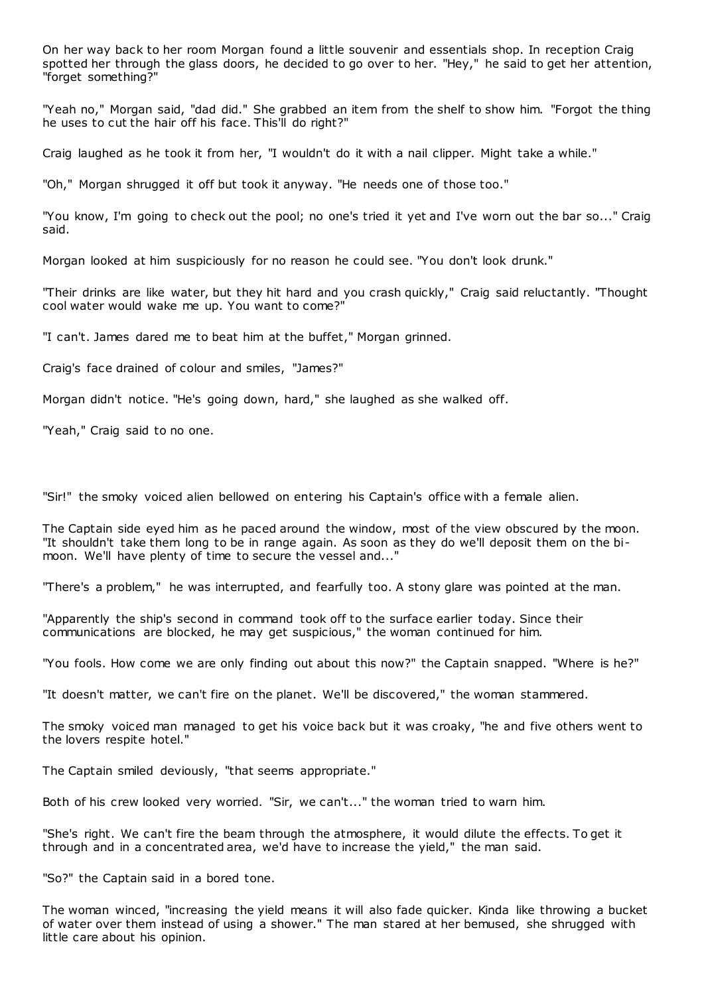On her way back to her room Morgan found a little souvenir and essentials shop. In reception Craig spotted her through the glass doors, he decided to go over to her. "Hey," he said to get her attention, "forget something?"

"Yeah no," Morgan said, "dad did." She grabbed an item from the shelf to show him. "Forgot the thing he uses to cut the hair off his face. This'll do right?"

Craig laughed as he took it from her, "I wouldn't do it with a nail clipper. Might take a while."

"Oh," Morgan shrugged it off but took it anyway. "He needs one of those too."

"You know, I'm going to check out the pool; no one's tried it yet and I've worn out the bar so..." Craig said.

Morgan looked at him suspiciously for no reason he could see. "You don't look drunk."

"Their drinks are like water, but they hit hard and you crash quickly," Craig said reluctantly. "Thought cool water would wake me up. You want to come?"

"I can't. James dared me to beat him at the buffet," Morgan grinned.

Craig's face drained of colour and smiles, "James?"

Morgan didn't notice. "He's going down, hard," she laughed as she walked off.

"Yeah," Craig said to no one.

"Sir!" the smoky voiced alien bellowed on entering his Captain's office with a female alien.

The Captain side eyed him as he paced around the window, most of the view obscured by the moon. "It shouldn't take them long to be in range again. As soon as they do we'll deposit them on the bimoon. We'll have plenty of time to secure the vessel and..."

"There's a problem," he was interrupted, and fearfully too. A stony glare was pointed at the man.

"Apparently the ship's second in command took off to the surface earlier today. Since their communications are blocked, he may get suspicious," the woman continued for him.

"You fools. How come we are only finding out about this now?" the Captain snapped. "Where is he?"

"It doesn't matter, we can't fire on the planet. We'll be discovered," the woman stammered.

The smoky voiced man managed to get his voice back but it was croaky, "he and five others went to the lovers respite hotel."

The Captain smiled deviously, "that seems appropriate."

Both of his crew looked very worried. "Sir, we can't..." the woman tried to warn him.

"She's right. We can't fire the beam through the atmosphere, it would dilute the effects. To get it through and in a concentrated area, we'd have to increase the yield," the man said.

"So?" the Captain said in a bored tone.

The woman winced, "increasing the yield means it will also fade quicker. Kinda like throwing a bucket of water over them instead of using a shower." The man stared at her bemused, she shrugged with little care about his opinion.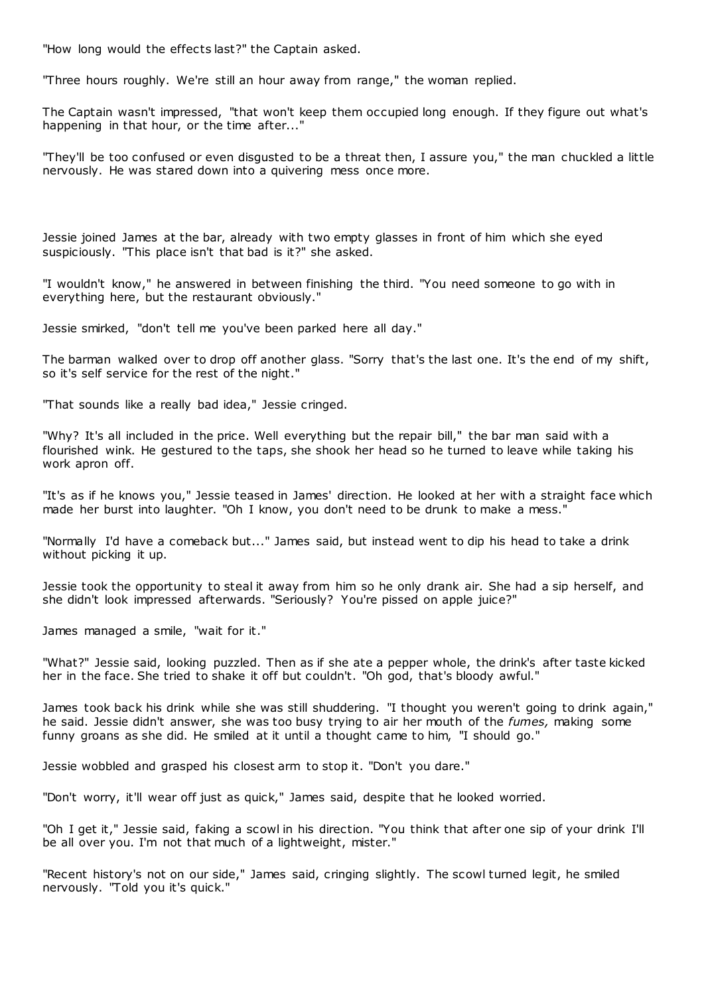"How long would the effects last?" the Captain asked.

"Three hours roughly. We're still an hour away from range," the woman replied.

The Captain wasn't impressed, "that won't keep them occupied long enough. If they figure out what's happening in that hour, or the time after..."

"They'll be too confused or even disgusted to be a threat then, I assure you," the man chuckled a little nervously. He was stared down into a quivering mess once more.

Jessie joined James at the bar, already with two empty glasses in front of him which she eyed suspiciously. "This place isn't that bad is it?" she asked.

"I wouldn't know," he answered in between finishing the third. "You need someone to go with in everything here, but the restaurant obviously."

Jessie smirked, "don't tell me you've been parked here all day."

The barman walked over to drop off another glass. "Sorry that's the last one. It's the end of my shift, so it's self service for the rest of the night."

"That sounds like a really bad idea," Jessie cringed.

"Why? It's all included in the price. Well everything but the repair bill," the bar man said with a flourished wink. He gestured to the taps, she shook her head so he turned to leave while taking his work apron off.

"It's as if he knows you," Jessie teased in James' direction. He looked at her with a straight face which made her burst into laughter. "Oh I know, you don't need to be drunk to make a mess."

"Normally I'd have a comeback but..." James said, but instead went to dip his head to take a drink without picking it up.

Jessie took the opportunity to steal it away from him so he only drank air. She had a sip herself, and she didn't look impressed afterwards. "Seriously? You're pissed on apple juice?"

James managed a smile, "wait for it."

"What?" Jessie said, looking puzzled. Then as if she ate a pepper whole, the drink's after taste kicked her in the face. She tried to shake it off but couldn't. "Oh god, that's bloody awful."

James took back his drink while she was still shuddering. "I thought you weren't going to drink again," he said. Jessie didn't answer, she was too busy trying to air her mouth of the *fumes,* making some funny groans as she did. He smiled at it until a thought came to him, "I should go."

Jessie wobbled and grasped his closest arm to stop it. "Don't you dare."

"Don't worry, it'll wear off just as quick," James said, despite that he looked worried.

"Oh I get it," Jessie said, faking a scowl in his direction. "You think that after one sip of your drink I'll be all over you. I'm not that much of a lightweight, mister."

"Recent history's not on our side," James said, cringing slightly. The scowl turned legit, he smiled nervously. "Told you it's quick."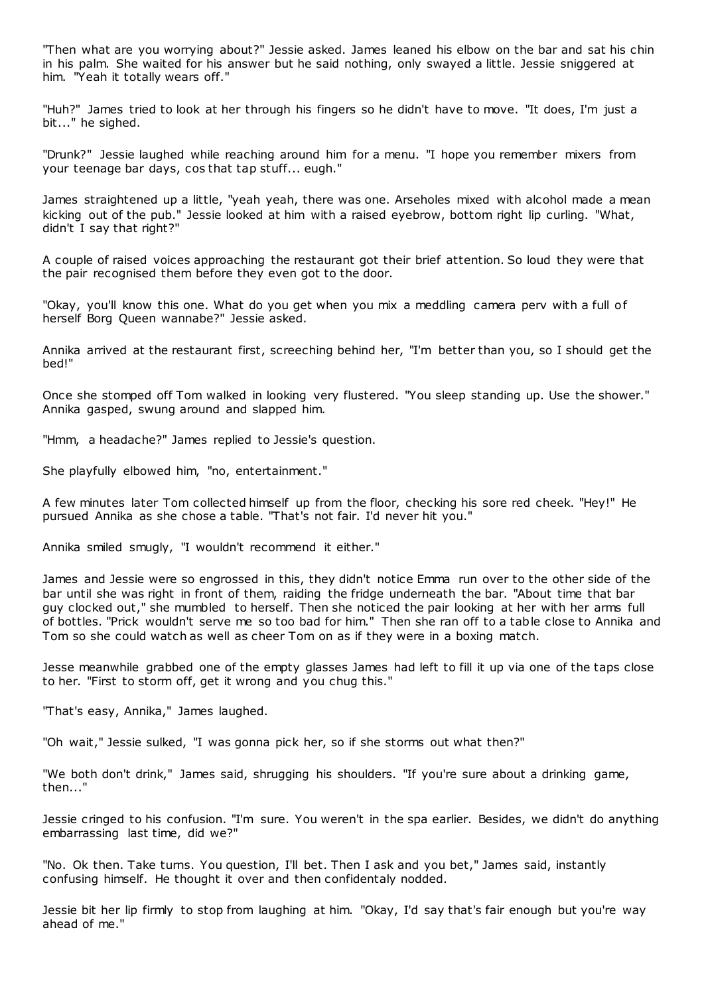"Then what are you worrying about?" Jessie asked. James leaned his elbow on the bar and sat his chin in his palm. She waited for his answer but he said nothing, only swayed a little. Jessie sniggered at him. "Yeah it totally wears off."

"Huh?" James tried to look at her through his fingers so he didn't have to move. "It does, I'm just a bit..." he sighed.

"Drunk?" Jessie laughed while reaching around him for a menu. "I hope you remember mixers from your teenage bar days, cos that tap stuff... eugh."

James straightened up a little, "yeah yeah, there was one. Arseholes mixed with alcohol made a mean kicking out of the pub." Jessie looked at him with a raised eyebrow, bottom right lip curling. "What, didn't I say that right?"

A couple of raised voices approaching the restaurant got their brief attention. So loud they were that the pair recognised them before they even got to the door.

"Okay, you'll know this one. What do you get when you mix a meddling camera perv with a full of herself Borg Queen wannabe?" Jessie asked.

Annika arrived at the restaurant first, screeching behind her, "I'm better than you, so I should get the bed!"

Once she stomped off Tom walked in looking very flustered. "You sleep standing up. Use the shower." Annika gasped, swung around and slapped him.

"Hmm, a headache?" James replied to Jessie's question.

She playfully elbowed him, "no, entertainment."

A few minutes later Tom collected himself up from the floor, checking his sore red cheek. "Hey!" He pursued Annika as she chose a table. "That's not fair. I'd never hit you."

Annika smiled smugly, "I wouldn't recommend it either."

James and Jessie were so engrossed in this, they didn't notice Emma run over to the other side of the bar until she was right in front of them, raiding the fridge underneath the bar. "About time that bar guy clocked out," she mumbled to herself. Then she noticed the pair looking at her with her arms full of bottles. "Prick wouldn't serve me so too bad for him." Then she ran off to a table close to Annika and Tom so she could watch as well as cheer Tom on as if they were in a boxing match.

Jesse meanwhile grabbed one of the empty glasses James had left to fill it up via one of the taps close to her. "First to storm off, get it wrong and you chug this."

"That's easy, Annika," James laughed.

"Oh wait," Jessie sulked, "I was gonna pick her, so if she storms out what then?"

"We both don't drink," James said, shrugging his shoulders. "If you're sure about a drinking game, then..."

Jessie cringed to his confusion. "I'm sure. You weren't in the spa earlier. Besides, we didn't do anything embarrassing last time, did we?"

"No. Ok then. Take turns. You question, I'll bet. Then I ask and you bet," James said, instantly confusing himself. He thought it over and then confidentaly nodded.

Jessie bit her lip firmly to stop from laughing at him. "Okay, I'd say that's fair enough but you're way ahead of me."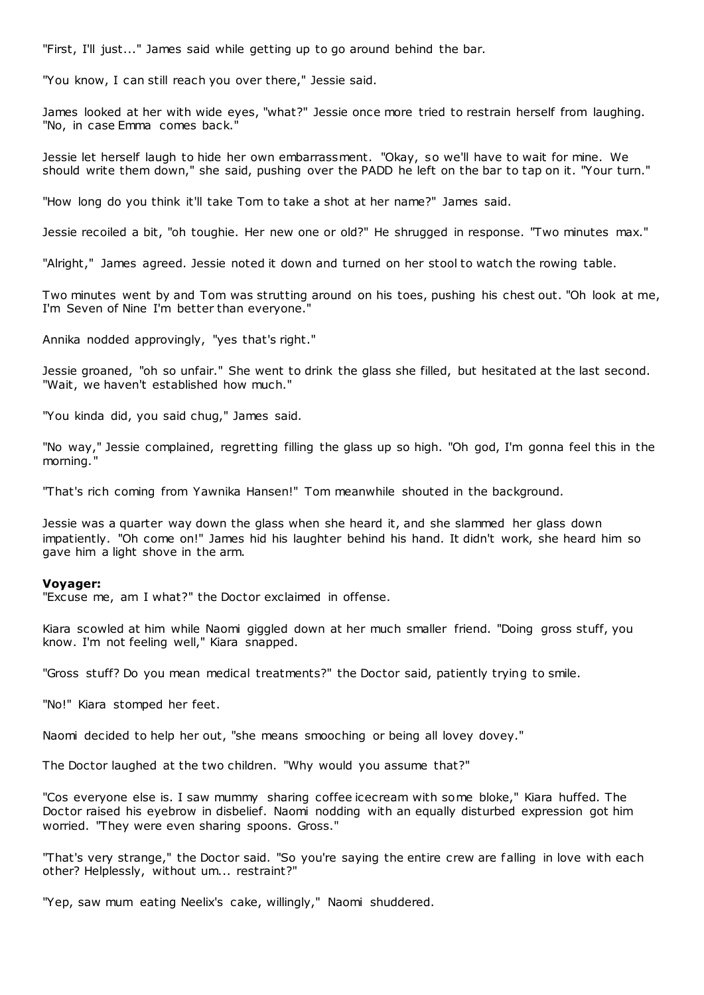"First, I'll just..." James said while getting up to go around behind the bar.

"You know, I can still reach you over there," Jessie said.

James looked at her with wide eyes, "what?" Jessie once more tried to restrain herself from laughing. "No, in case Emma comes back."

Jessie let herself laugh to hide her own embarrassment. "Okay, so we'll have to wait for mine. We should write them down," she said, pushing over the PADD he left on the bar to tap on it. "Your turn."

"How long do you think it'll take Tom to take a shot at her name?" James said.

Jessie recoiled a bit, "oh toughie. Her new one or old?" He shrugged in response. "Two minutes max."

"Alright," James agreed. Jessie noted it down and turned on her stool to watch the rowing table.

Two minutes went by and Tom was strutting around on his toes, pushing his chest out. "Oh look at me, I'm Seven of Nine I'm better than everyone."

Annika nodded approvingly, "yes that's right."

Jessie groaned, "oh so unfair." She went to drink the glass she filled, but hesitated at the last second. "Wait, we haven't established how much."

"You kinda did, you said chug," James said.

"No way," Jessie complained, regretting filling the glass up so high. "Oh god, I'm gonna feel this in the morning."

"That's rich coming from Yawnika Hansen!" Tom meanwhile shouted in the background.

Jessie was a quarter way down the glass when she heard it, and she slammed her glass down impatiently. "Oh come on!" James hid his laughter behind his hand. It didn't work, she heard him so gave him a light shove in the arm.

#### **Voyager:**

"Excuse me, am I what?" the Doctor exclaimed in offense.

Kiara scowled at him while Naomi giggled down at her much smaller friend. "Doing gross stuff, you know. I'm not feeling well," Kiara snapped.

"Gross stuff? Do you mean medical treatments?" the Doctor said, patiently trying to smile.

"No!" Kiara stomped her feet.

Naomi decided to help her out, "she means smooching or being all lovey dovey."

The Doctor laughed at the two children. "Why would you assume that?"

"Cos everyone else is. I saw mummy sharing coffee icecream with some bloke," Kiara huffed. The Doctor raised his eyebrow in disbelief. Naomi nodding with an equally disturbed expression got him worried. "They were even sharing spoons. Gross."

"That's very strange," the Doctor said. "So you're saying the entire crew are falling in love with each other? Helplessly, without um... restraint?"

"Yep, saw mum eating Neelix's cake, willingly," Naomi shuddered.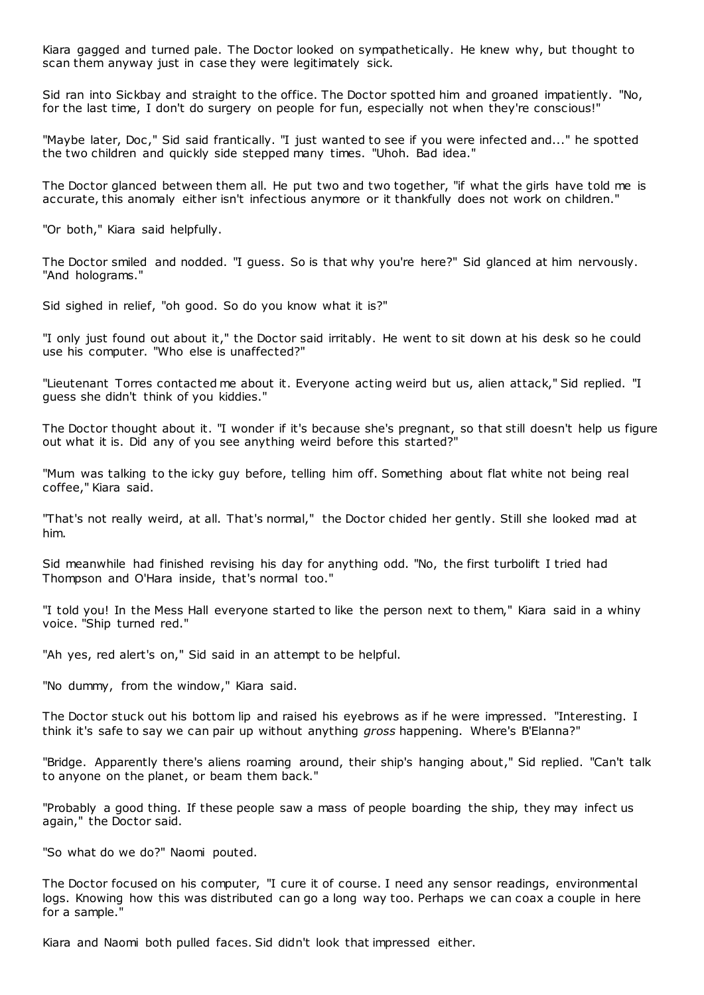Kiara gagged and turned pale. The Doctor looked on sympathetically. He knew why, but thought to scan them anyway just in case they were legitimately sick.

Sid ran into Sickbay and straight to the office. The Doctor spotted him and groaned impatiently. "No, for the last time, I don't do surgery on people for fun, especially not when they're conscious!"

"Maybe later, Doc," Sid said frantically. "I just wanted to see if you were infected and..." he spotted the two children and quickly side stepped many times. "Uhoh. Bad idea."

The Doctor glanced between them all. He put two and two together, "if what the girls have told me is accurate, this anomaly either isn't infectious anymore or it thankfully does not work on children."

"Or both," Kiara said helpfully.

The Doctor smiled and nodded. "I guess. So is that why you're here?" Sid glanced at him nervously. "And holograms."

Sid sighed in relief, "oh good. So do you know what it is?"

"I only just found out about it," the Doctor said irritably. He went to sit down at his desk so he could use his computer. "Who else is unaffected?"

"Lieutenant Torres contacted me about it. Everyone acting weird but us, alien attack," Sid replied. "I guess she didn't think of you kiddies."

The Doctor thought about it. "I wonder if it's because she's pregnant, so that still doesn't help us figure out what it is. Did any of you see anything weird before this started?"

"Mum was talking to the icky guy before, telling him off. Something about flat white not being real coffee," Kiara said.

"That's not really weird, at all. That's normal," the Doctor chided her gently. Still she looked mad at him.

Sid meanwhile had finished revising his day for anything odd. "No, the first turbolift I tried had Thompson and O'Hara inside, that's normal too."

"I told you! In the Mess Hall everyone started to like the person next to them," Kiara said in a whiny voice. "Ship turned red."

"Ah yes, red alert's on," Sid said in an attempt to be helpful.

"No dummy, from the window," Kiara said.

The Doctor stuck out his bottom lip and raised his eyebrows as if he were impressed. "Interesting. I think it's safe to say we can pair up without anything *gross* happening. Where's B'Elanna?"

"Bridge. Apparently there's aliens roaming around, their ship's hanging about," Sid replied. "Can't talk to anyone on the planet, or beam them back."

"Probably a good thing. If these people saw a mass of people boarding the ship, they may infect us again," the Doctor said.

"So what do we do?" Naomi pouted.

The Doctor focused on his computer, "I cure it of course. I need any sensor readings, environmental logs. Knowing how this was distributed can go a long way too. Perhaps we can coax a couple in here for a sample."

Kiara and Naomi both pulled faces. Sid didn't look that impressed either.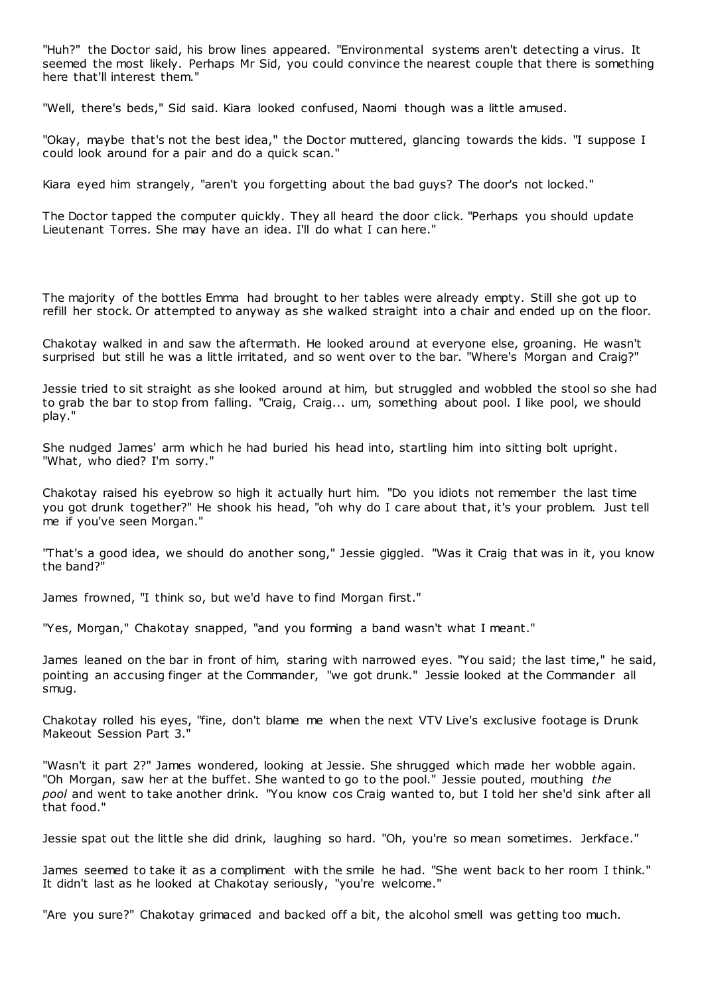"Huh?" the Doctor said, his brow lines appeared. "Environmental systems aren't detecting a virus. It seemed the most likely. Perhaps Mr Sid, you could convince the nearest couple that there is something here that'll interest them."

"Well, there's beds," Sid said. Kiara looked confused, Naomi though was a little amused.

"Okay, maybe that's not the best idea," the Doctor muttered, glancing towards the kids. "I suppose I could look around for a pair and do a quick scan."

Kiara eyed him strangely, "aren't you forgetting about the bad guys? The door's not locked."

The Doctor tapped the computer quickly. They all heard the door click. "Perhaps you should update Lieutenant Torres. She may have an idea. I'll do what I can here."

The majority of the bottles Emma had brought to her tables were already empty. Still she got up to refill her stock. Or attempted to anyway as she walked straight into a chair and ended up on the floor.

Chakotay walked in and saw the aftermath. He looked around at everyone else, groaning. He wasn't surprised but still he was a little irritated, and so went over to the bar. "Where's Morgan and Craig?"

Jessie tried to sit straight as she looked around at him, but struggled and wobbled the stool so she had to grab the bar to stop from falling. "Craig, Craig... um, something about pool. I like pool, we should play."

She nudged James' arm which he had buried his head into, startling him into sitting bolt upright. "What, who died? I'm sorry."

Chakotay raised his eyebrow so high it actually hurt him. "Do you idiots not remember the last time you got drunk together?" He shook his head, "oh why do I care about that, it's your problem. Just tell me if you've seen Morgan."

"That's a good idea, we should do another song," Jessie giggled. "Was it Craig that was in it, you know the band?"

James frowned, "I think so, but we'd have to find Morgan first."

"Yes, Morgan," Chakotay snapped, "and you forming a band wasn't what I meant."

James leaned on the bar in front of him, staring with narrowed eyes. "You said; the last time," he said, pointing an accusing finger at the Commander, "we got drunk." Jessie looked at the Commander all smug.

Chakotay rolled his eyes, "fine, don't blame me when the next VTV Live's exclusive footage is Drunk Makeout Session Part 3."

"Wasn't it part 2?" James wondered, looking at Jessie. She shrugged which made her wobble again. "Oh Morgan, saw her at the buffet. She wanted to go to the pool." Jessie pouted, mouthing *the pool* and went to take another drink. "You know cos Craig wanted to, but I told her she'd sink after all that food."

Jessie spat out the little she did drink, laughing so hard. "Oh, you're so mean sometimes. Jerkface."

James seemed to take it as a compliment with the smile he had. "She went back to her room I think." It didn't last as he looked at Chakotay seriously, "you're welcome."

"Are you sure?" Chakotay grimaced and backed off a bit, the alcohol smell was getting too much.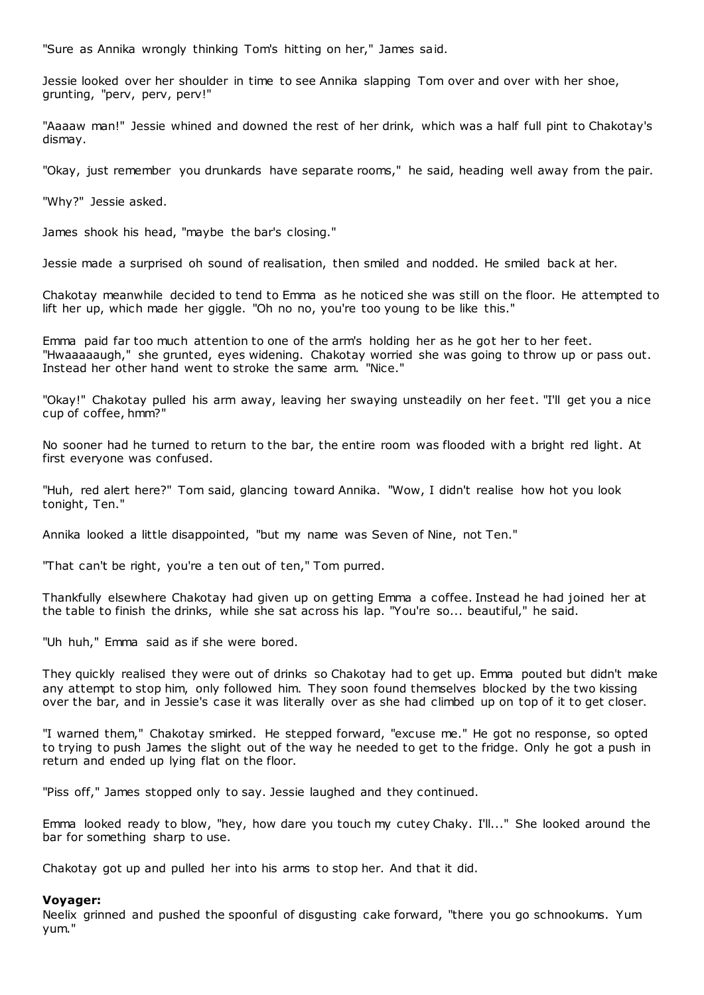"Sure as Annika wrongly thinking Tom's hitting on her," James said.

Jessie looked over her shoulder in time to see Annika slapping Tom over and over with her shoe, grunting, "perv, perv, perv!"

"Aaaaw man!" Jessie whined and downed the rest of her drink, which was a half full pint to Chakotay's dismay.

"Okay, just remember you drunkards have separate rooms," he said, heading well away from the pair.

"Why?" Jessie asked.

James shook his head, "maybe the bar's closing."

Jessie made a surprised oh sound of realisation, then smiled and nodded. He smiled back at her.

Chakotay meanwhile decided to tend to Emma as he noticed she was still on the floor. He attempted to lift her up, which made her giggle. "Oh no no, you're too young to be like this."

Emma paid far too much attention to one of the arm's holding her as he got her to her feet. "Hwaaaaaugh," she grunted, eyes widening. Chakotay worried she was going to throw up or pass out. Instead her other hand went to stroke the same arm. "Nice."

"Okay!" Chakotay pulled his arm away, leaving her swaying unsteadily on her feet. "I'll get you a nice cup of coffee, hmm?"

No sooner had he turned to return to the bar, the entire room was flooded with a bright red light. At first everyone was confused.

"Huh, red alert here?" Tom said, glancing toward Annika. "Wow, I didn't realise how hot you look tonight, Ten."

Annika looked a little disappointed, "but my name was Seven of Nine, not Ten."

"That can't be right, you're a ten out of ten," Tom purred.

Thankfully elsewhere Chakotay had given up on getting Emma a coffee. Instead he had joined her at the table to finish the drinks, while she sat across his lap. "You're so... beautiful," he said.

"Uh huh," Emma said as if she were bored.

They quickly realised they were out of drinks so Chakotay had to get up. Emma pouted but didn't make any attempt to stop him, only followed him. They soon found themselves blocked by the two kissing over the bar, and in Jessie's case it was literally over as she had climbed up on top of it to get closer.

"I warned them," Chakotay smirked. He stepped forward, "excuse me." He got no response, so opted to trying to push James the slight out of the way he needed to get to the fridge. Only he got a push in return and ended up lying flat on the floor.

"Piss off," James stopped only to say. Jessie laughed and they continued.

Emma looked ready to blow, "hey, how dare you touch my cutey Chaky. I'll..." She looked around the bar for something sharp to use.

Chakotay got up and pulled her into his arms to stop her. And that it did.

### **Voyager:**

Neelix grinned and pushed the spoonful of disgusting cake forward, "there you go schnookums. Yum yum."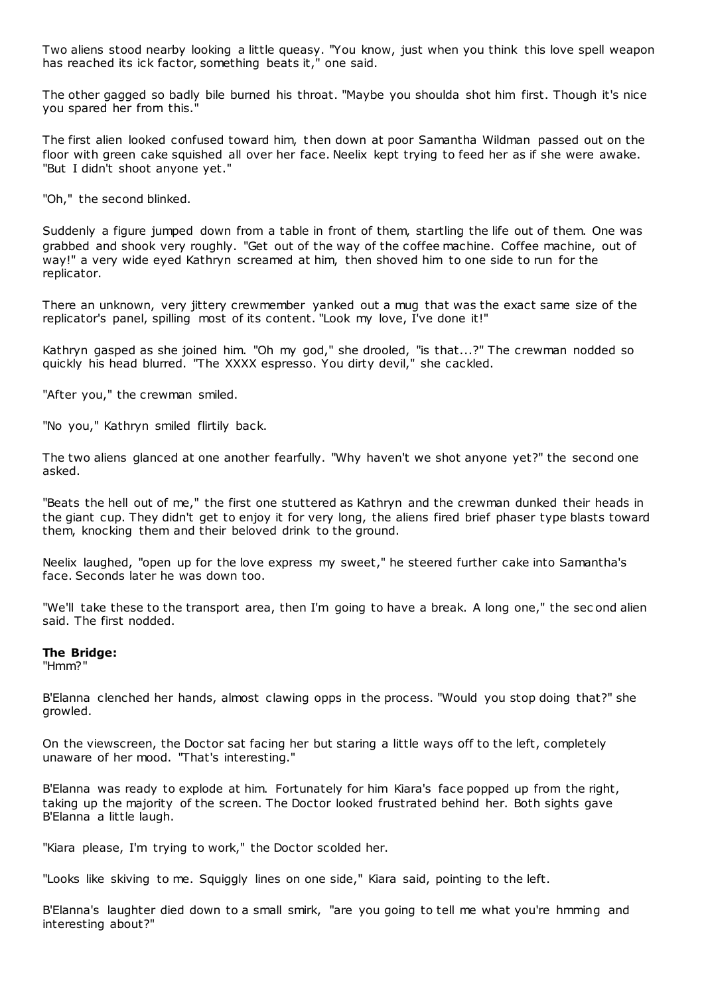Two aliens stood nearby looking a little queasy. "You know, just when you think this love spell weapon has reached its ick factor, something beats it," one said.

The other gagged so badly bile burned his throat. "Maybe you shoulda shot him first. Though it's nice you spared her from this."

The first alien looked confused toward him, then down at poor Samantha Wildman passed out on the floor with green cake squished all over her face. Neelix kept trying to feed her as if she were awake. "But I didn't shoot anyone yet."

"Oh," the second blinked.

Suddenly a figure jumped down from a table in front of them, startling the life out of them. One was grabbed and shook very roughly. "Get out of the way of the coffee machine. Coffee machine, out of way!" a very wide eyed Kathryn screamed at him, then shoved him to one side to run for the replicator.

There an unknown, very jittery crewmember yanked out a mug that was the exact same size of the replicator's panel, spilling most of its content. "Look my love, I've done it!"

Kathryn gasped as she joined him. "Oh my god," she drooled, "is that...?" The crewman nodded so quickly his head blurred. "The XXXX espresso. You dirty devil," she cackled.

"After you," the crewman smiled.

"No you," Kathryn smiled flirtily back.

The two aliens glanced at one another fearfully. "Why haven't we shot anyone yet?" the second one asked.

"Beats the hell out of me," the first one stuttered as Kathryn and the crewman dunked their heads in the giant cup. They didn't get to enjoy it for very long, the aliens fired brief phaser type blasts toward them, knocking them and their beloved drink to the ground.

Neelix laughed, "open up for the love express my sweet," he steered further cake into Samantha's face. Seconds later he was down too.

"We'll take these to the transport area, then I'm going to have a break. A long one," the sec ond alien said. The first nodded.

## **The Bridge:**

"Hmm?"

B'Elanna clenched her hands, almost clawing opps in the process. "Would you stop doing that?" she growled.

On the viewscreen, the Doctor sat facing her but staring a little ways off to the left, completely unaware of her mood. "That's interesting."

B'Elanna was ready to explode at him. Fortunately for him Kiara's face popped up from the right, taking up the majority of the screen. The Doctor looked frustrated behind her. Both sights gave B'Elanna a little laugh.

"Kiara please, I'm trying to work," the Doctor scolded her.

"Looks like skiving to me. Squiggly lines on one side," Kiara said, pointing to the left.

B'Elanna's laughter died down to a small smirk, "are you going to tell me what you're hmming and interesting about?"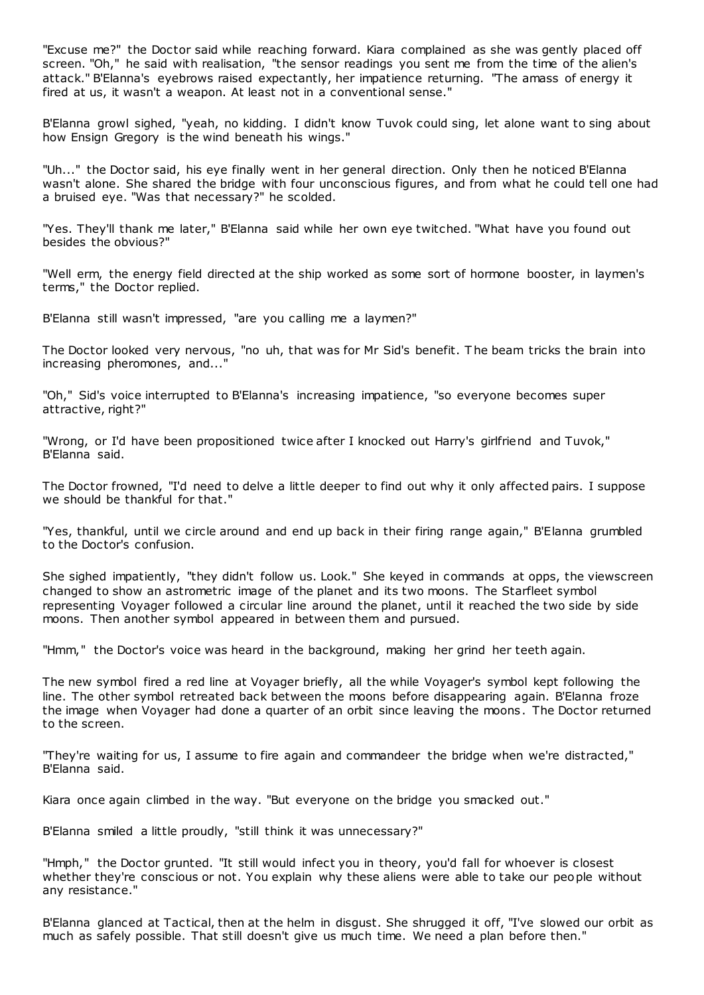"Excuse me?" the Doctor said while reaching forward. Kiara complained as she was gently placed off screen. "Oh," he said with realisation, "the sensor readings you sent me from the time of the alien's attack." B'Elanna's eyebrows raised expectantly, her impatience returning. "The amass of energy it fired at us, it wasn't a weapon. At least not in a conventional sense."

B'Elanna growl sighed, "yeah, no kidding. I didn't know Tuvok could sing, let alone want to sing about how Ensign Gregory is the wind beneath his wings."

"Uh..." the Doctor said, his eye finally went in her general direction. Only then he noticed B'Elanna wasn't alone. She shared the bridge with four unconscious figures, and from what he could tell one had a bruised eye. "Was that necessary?" he scolded.

"Yes. They'll thank me later," B'Elanna said while her own eye twitched. "What have you found out besides the obvious?"

"Well erm, the energy field directed at the ship worked as some sort of hormone booster, in laymen's terms," the Doctor replied.

B'Elanna still wasn't impressed, "are you calling me a laymen?"

The Doctor looked very nervous, "no uh, that was for Mr Sid's benefit. T he beam tricks the brain into increasing pheromones, and..."

"Oh," Sid's voice interrupted to B'Elanna's increasing impatience, "so everyone becomes super attractive, right?"

"Wrong, or I'd have been propositioned twice after I knocked out Harry's girlfriend and Tuvok," B'Elanna said.

The Doctor frowned, "I'd need to delve a little deeper to find out why it only affected pairs. I suppose we should be thankful for that."

"Yes, thankful, until we circle around and end up back in their firing range again," B'Elanna grumbled to the Doctor's confusion.

She sighed impatiently, "they didn't follow us. Look." She keyed in commands at opps, the viewscreen changed to show an astrometric image of the planet and its two moons. The Starfleet symbol representing Voyager followed a circular line around the planet, until it reached the two side by side moons. Then another symbol appeared in between them and pursued.

"Hmm," the Doctor's voice was heard in the background, making her grind her teeth again.

The new symbol fired a red line at Voyager briefly, all the while Voyager's symbol kept following the line. The other symbol retreated back between the moons before disappearing again. B'Elanna froze the image when Voyager had done a quarter of an orbit since leaving the moons. The Doctor returned to the screen.

"They're waiting for us, I assume to fire again and commandeer the bridge when we're distracted," B'Elanna said.

Kiara once again climbed in the way. "But everyone on the bridge you smacked out."

B'Elanna smiled a little proudly, "still think it was unnecessary?"

"Hmph," the Doctor grunted. "It still would infect you in theory, you'd fall for whoever is closest whether they're conscious or not. You explain why these aliens were able to take our people without any resistance."

B'Elanna glanced at Tactical, then at the helm in disgust. She shrugged it off, "I've slowed our orbit as much as safely possible. That still doesn't give us much time. We need a plan before then."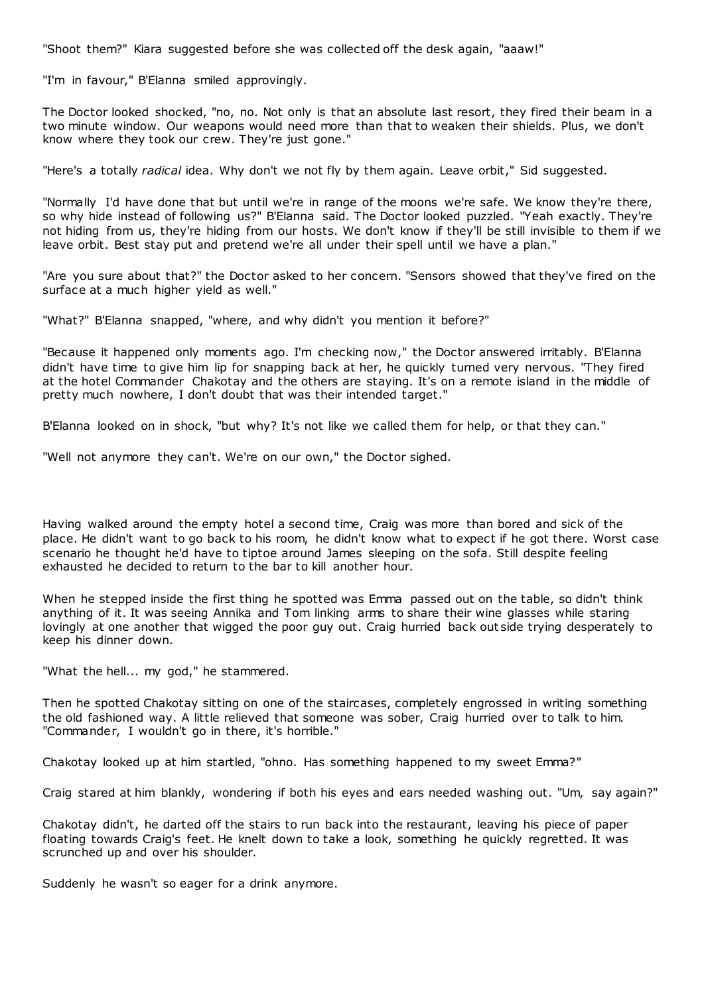"Shoot them?" Kiara suggested before she was collected off the desk again, "aaaw!"

"I'm in favour," B'Elanna smiled approvingly.

The Doctor looked shocked, "no, no. Not only is that an absolute last resort, they fired their beam in a two minute window. Our weapons would need more than that to weaken their shields. Plus, we don't know where they took our crew. They're just gone."

"Here's a totally *radical* idea. Why don't we not fly by them again. Leave orbit," Sid suggested.

"Normally I'd have done that but until we're in range of the moons we're safe. We know they're there, so why hide instead of following us?" B'Elanna said. The Doctor looked puzzled. "Yeah exactly. They're not hiding from us, they're hiding from our hosts. We don't know if they'll be still invisible to them if we leave orbit. Best stay put and pretend we're all under their spell until we have a plan."

"Are you sure about that?" the Doctor asked to her concern. "Sensors showed that they've fired on the surface at a much higher yield as well."

"What?" B'Elanna snapped, "where, and why didn't you mention it before?"

"Because it happened only moments ago. I'm checking now," the Doctor answered irritably. B'Elanna didn't have time to give him lip for snapping back at her, he quickly turned very nervous. "They fired at the hotel Commander Chakotay and the others are staying. It's on a remote island in the middle of pretty much nowhere, I don't doubt that was their intended target."

B'Elanna looked on in shock, "but why? It's not like we called them for help, or that they can."

"Well not anymore they can't. We're on our own," the Doctor sighed.

Having walked around the empty hotel a second time, Craig was more than bored and sick of the place. He didn't want to go back to his room, he didn't know what to expect if he got there. Worst case scenario he thought he'd have to tiptoe around James sleeping on the sofa. Still despite feeling exhausted he decided to return to the bar to kill another hour.

When he stepped inside the first thing he spotted was Emma passed out on the table, so didn't think anything of it. It was seeing Annika and Tom linking arms to share their wine glasses while staring lovingly at one another that wigged the poor guy out. Craig hurried back out side trying desperately to keep his dinner down.

"What the hell... my god," he stammered.

Then he spotted Chakotay sitting on one of the staircases, completely engrossed in writing something the old fashioned way. A little relieved that someone was sober, Craig hurried over to talk to him. "Commander, I wouldn't go in there, it's horrible."

Chakotay looked up at him startled, "ohno. Has something happened to my sweet Emma?"

Craig stared at him blankly, wondering if both his eyes and ears needed washing out. "Um, say again?"

Chakotay didn't, he darted off the stairs to run back into the restaurant, leaving his piece of paper floating towards Craig's feet. He knelt down to take a look, something he quickly regretted. It was scrunched up and over his shoulder.

Suddenly he wasn't so eager for a drink anymore.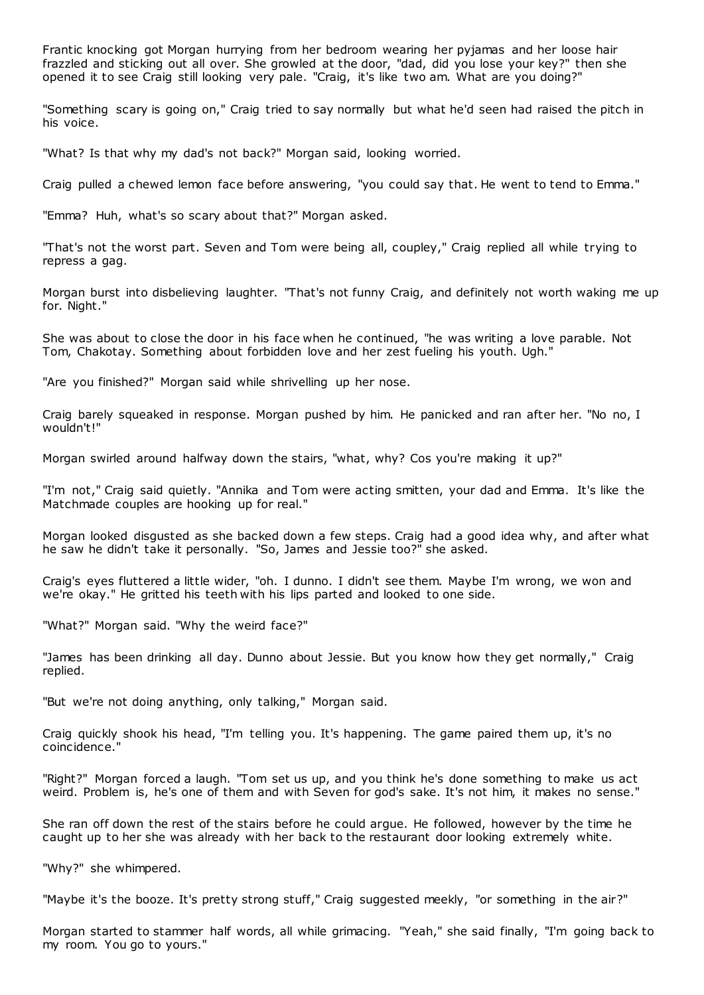Frantic knocking got Morgan hurrying from her bedroom wearing her pyjamas and her loose hair frazzled and sticking out all over. She growled at the door, "dad, did you lose your key?" then she opened it to see Craig still looking very pale. "Craig, it's like two am. What are you doing?"

"Something scary is going on," Craig tried to say normally but what he'd seen had raised the pitch in his voice.

"What? Is that why my dad's not back?" Morgan said, looking worried.

Craig pulled a chewed lemon face before answering, "you could say that. He went to tend to Emma."

"Emma? Huh, what's so scary about that?" Morgan asked.

"That's not the worst part. Seven and Tom were being all, coupley," Craig replied all while trying to repress a gag.

Morgan burst into disbelieving laughter. "That's not funny Craig, and definitely not worth waking me up for. Night."

She was about to close the door in his face when he continued, "he was writing a love parable. Not Tom, Chakotay. Something about forbidden love and her zest fueling his youth. Ugh."

"Are you finished?" Morgan said while shrivelling up her nose.

Craig barely squeaked in response. Morgan pushed by him. He panicked and ran after her. "No no, I wouldn't!"

Morgan swirled around halfway down the stairs, "what, why? Cos you're making it up?"

"I'm not," Craig said quietly. "Annika and Tom were acting smitten, your dad and Emma. It's like the Matchmade couples are hooking up for real."

Morgan looked disgusted as she backed down a few steps. Craig had a good idea why, and after what he saw he didn't take it personally. "So, James and Jessie too?" she asked.

Craig's eyes fluttered a little wider, "oh. I dunno. I didn't see them. Maybe I'm wrong, we won and we're okay." He gritted his teeth with his lips parted and looked to one side.

"What?" Morgan said. "Why the weird face?"

"James has been drinking all day. Dunno about Jessie. But you know how they get normally," Craig replied.

"But we're not doing anything, only talking," Morgan said.

Craig quickly shook his head, "I'm telling you. It's happening. The game paired them up, it's no coincidence."

"Right?" Morgan forced a laugh. "Tom set us up, and you think he's done something to make us act weird. Problem is, he's one of them and with Seven for god's sake. It's not him, it makes no sense."

She ran off down the rest of the stairs before he could argue. He followed, however by the time he caught up to her she was already with her back to the restaurant door looking extremely white.

"Why?" she whimpered.

"Maybe it's the booze. It's pretty strong stuff," Craig suggested meekly, "or something in the air?"

Morgan started to stammer half words, all while grimacing. "Yeah," she said finally, "I'm going back to my room. You go to yours."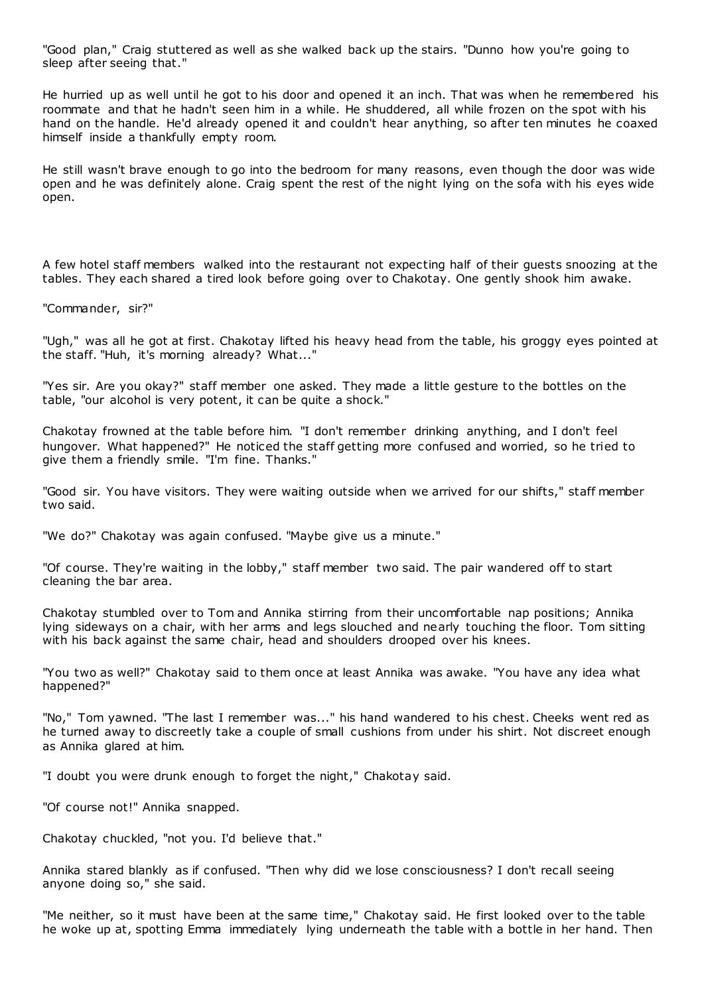"Good plan," Craig stuttered as well as she walked back up the stairs. "Dunno how you're going to sleep after seeing that."

He hurried up as well until he got to his door and opened it an inch. That was when he remembered his roommate and that he hadn't seen him in a while. He shuddered, all while frozen on the spot with his hand on the handle. He'd already opened it and couldn't hear anything, so after ten minutes he coaxed himself inside a thankfully empty room.

He still wasn't brave enough to go into the bedroom for many reasons, even though the door was wide open and he was definitely alone. Craig spent the rest of the night lying on the sofa with his eyes wide open.

A few hotel staff members walked into the restaurant not expecting half of their guests snoozing at the tables. They each shared a tired look before going over to Chakotay. One gently shook him awake.

"Commander, sir?"

"Ugh," was all he got at first. Chakotay lifted his heavy head from the table, his groggy eyes pointed at the staff. "Huh, it's morning already? What..."

"Yes sir. Are you okay?" staff member one asked. They made a little gesture to the bottles on the table, "our alcohol is very potent, it can be quite a shock."

Chakotay frowned at the table before him. "I don't remember drinking anything, and I don't feel hungover. What happened?" He noticed the staff getting more confused and worried, so he tried to give them a friendly smile. "I'm fine. Thanks."

"Good sir. You have visitors. They were waiting outside when we arrived for our shifts," staff member two said.

"We do?" Chakotay was again confused. "Maybe give us a minute."

"Of course. They're waiting in the lobby," staff member two said. The pair wandered off to start cleaning the bar area.

Chakotay stumbled over to Tom and Annika stirring from their uncomfortable nap positions; Annika lying sideways on a chair, with her arms and legs slouched and nearly touching the floor. Tom sitting with his back against the same chair, head and shoulders drooped over his knees.

"You two as well?" Chakotay said to them once at least Annika was awake. "You have any idea what happened?"

"No," Tom yawned. "The last I remember was..." his hand wandered to his chest. Cheeks went red as he turned away to discreetly take a couple of small cushions from under his shirt. Not discreet enough as Annika glared at him.

"I doubt you were drunk enough to forget the night," Chakotay said.

"Of course not!" Annika snapped.

Chakotay chuckled, "not you. I'd believe that."

Annika stared blankly as if confused. "Then why did we lose consciousness? I don't recall seeing anyone doing so," she said.

"Me neither, so it must have been at the same time," Chakotay said. He first looked over to the table he woke up at, spotting Emma immediately lying underneath the table with a bottle in her hand. Then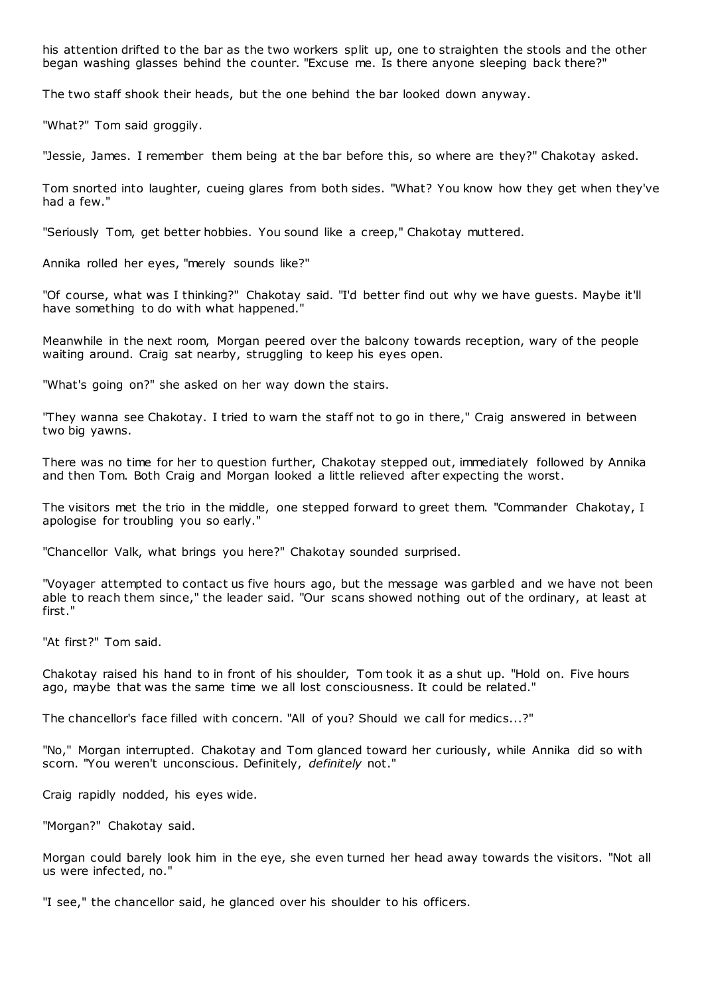his attention drifted to the bar as the two workers split up, one to straighten the stools and the other began washing glasses behind the counter. "Excuse me. Is there anyone sleeping back there?"

The two staff shook their heads, but the one behind the bar looked down anyway.

"What?" Tom said groggily.

"Jessie, James. I remember them being at the bar before this, so where are they?" Chakotay asked.

Tom snorted into laughter, cueing glares from both sides. "What? You know how they get when they've had a few."

"Seriously Tom, get better hobbies. You sound like a creep," Chakotay muttered.

Annika rolled her eyes, "merely sounds like?"

"Of course, what was I thinking?" Chakotay said. "I'd better find out why we have guests. Maybe it'll have something to do with what happened."

Meanwhile in the next room, Morgan peered over the balcony towards reception, wary of the people waiting around. Craig sat nearby, struggling to keep his eyes open.

"What's going on?" she asked on her way down the stairs.

"They wanna see Chakotay. I tried to warn the staff not to go in there," Craig answered in between two big yawns.

There was no time for her to question further, Chakotay stepped out, immediately followed by Annika and then Tom. Both Craig and Morgan looked a little relieved after expecting the worst.

The visitors met the trio in the middle, one stepped forward to greet them. "Commander Chakotay, I apologise for troubling you so early."

"Chancellor Valk, what brings you here?" Chakotay sounded surprised.

"Voyager attempted to contact us five hours ago, but the message was garbled and we have not been able to reach them since," the leader said. "Our scans showed nothing out of the ordinary, at least at first."

"At first?" Tom said.

Chakotay raised his hand to in front of his shoulder, Tom took it as a shut up. "Hold on. Five hours ago, maybe that was the same time we all lost consciousness. It could be related."

The chancellor's face filled with concern. "All of you? Should we call for medics...?"

"No," Morgan interrupted. Chakotay and Tom glanced toward her curiously, while Annika did so with scorn. "You weren't unconscious. Definitely, *definitely* not."

Craig rapidly nodded, his eyes wide.

"Morgan?" Chakotay said.

Morgan could barely look him in the eye, she even turned her head away towards the visitors. "Not all us were infected, no."

"I see," the chancellor said, he glanced over his shoulder to his officers.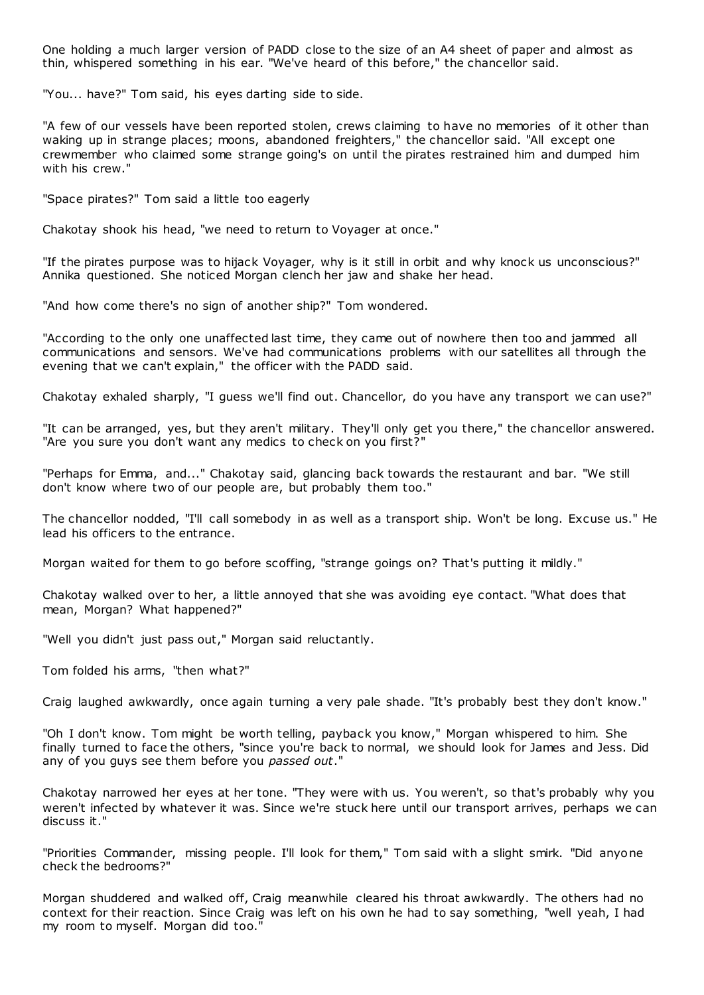One holding a much larger version of PADD close to the size of an A4 sheet of paper and almost as thin, whispered something in his ear. "We've heard of this before," the chancellor said.

"You... have?" Tom said, his eyes darting side to side.

"A few of our vessels have been reported stolen, crews claiming to have no memories of it other than waking up in strange places; moons, abandoned freighters," the chancellor said. "All except one crewmember who claimed some strange going's on until the pirates restrained him and dumped him with his crew."

"Space pirates?" Tom said a little too eagerly

Chakotay shook his head, "we need to return to Voyager at once."

"If the pirates purpose was to hijack Voyager, why is it still in orbit and why knock us unconscious?" Annika questioned. She noticed Morgan clench her jaw and shake her head.

"And how come there's no sign of another ship?" Tom wondered.

"According to the only one unaffected last time, they came out of nowhere then too and jammed all communications and sensors. We've had communications problems with our satellites all through the evening that we can't explain," the officer with the PADD said.

Chakotay exhaled sharply, "I guess we'll find out. Chancellor, do you have any transport we can use?"

"It can be arranged, yes, but they aren't military. They'll only get you there," the chancellor answered. "Are you sure you don't want any medics to check on you first?"

"Perhaps for Emma, and..." Chakotay said, glancing back towards the restaurant and bar. "We still don't know where two of our people are, but probably them too."

The chancellor nodded, "I'll call somebody in as well as a transport ship. Won't be long. Excuse us." He lead his officers to the entrance.

Morgan waited for them to go before scoffing, "strange goings on? That's putting it mildly."

Chakotay walked over to her, a little annoyed that she was avoiding eye contact. "What does that mean, Morgan? What happened?"

"Well you didn't just pass out," Morgan said reluctantly.

Tom folded his arms, "then what?"

Craig laughed awkwardly, once again turning a very pale shade. "It's probably best they don't know."

"Oh I don't know. Tom might be worth telling, payback you know," Morgan whispered to him. She finally turned to face the others, "since you're back to normal, we should look for James and Jess. Did any of you guys see them before you *passed out*."

Chakotay narrowed her eyes at her tone. "They were with us. You weren't, so that's probably why you weren't infected by whatever it was. Since we're stuck here until our transport arrives, perhaps we can discuss it."

"Priorities Commander, missing people. I'll look for them," Tom said with a slight smirk. "Did anyone check the bedrooms?"

Morgan shuddered and walked off, Craig meanwhile cleared his throat awkwardly. The others had no context for their reaction. Since Craig was left on his own he had to say something, "well yeah, I had my room to myself. Morgan did too."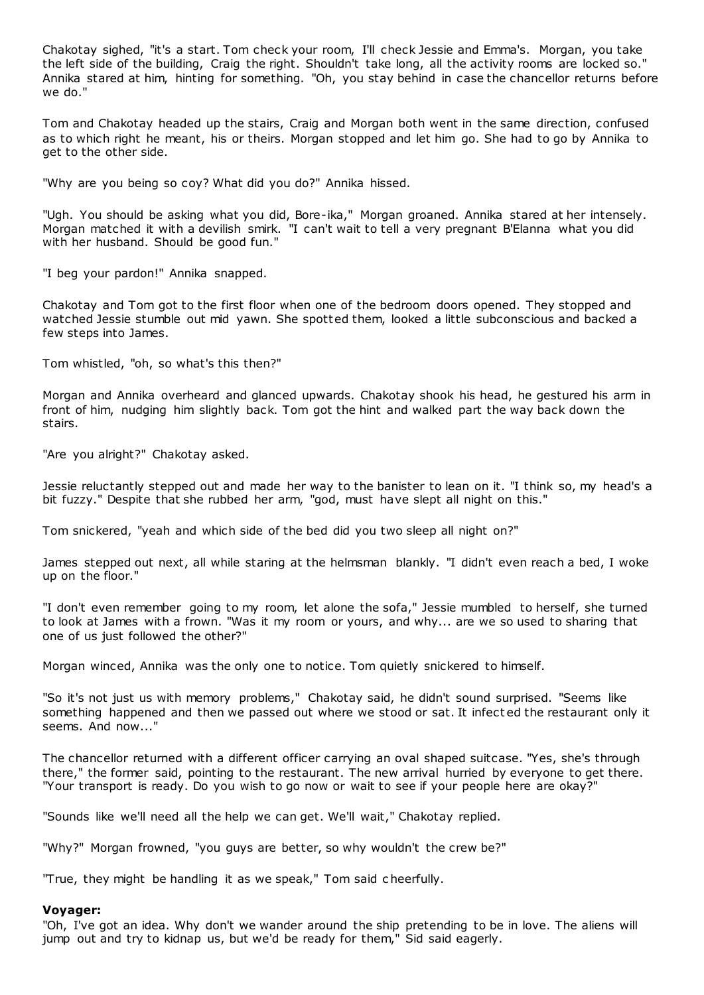Chakotay sighed, "it's a start. Tom check your room, I'll check Jessie and Emma's. Morgan, you take the left side of the building, Craig the right. Shouldn't take long, all the activity rooms are locked so." Annika stared at him, hinting for something. "Oh, you stay behind in case the chancellor returns before we do."

Tom and Chakotay headed up the stairs, Craig and Morgan both went in the same direction, confused as to which right he meant, his or theirs. Morgan stopped and let him go. She had to go by Annika to get to the other side.

"Why are you being so coy? What did you do?" Annika hissed.

"Ugh. You should be asking what you did, Bore-ika," Morgan groaned. Annika stared at her intensely. Morgan matched it with a devilish smirk. "I can't wait to tell a very pregnant B'Elanna what you did with her husband. Should be good fun."

"I beg your pardon!" Annika snapped.

Chakotay and Tom got to the first floor when one of the bedroom doors opened. They stopped and watched Jessie stumble out mid yawn. She spotted them, looked a little subconscious and backed a few steps into James.

Tom whistled, "oh, so what's this then?"

Morgan and Annika overheard and glanced upwards. Chakotay shook his head, he gestured his arm in front of him, nudging him slightly back. Tom got the hint and walked part the way back down the stairs.

"Are you alright?" Chakotay asked.

Jessie reluctantly stepped out and made her way to the banister to lean on it. "I think so, my head's a bit fuzzy." Despite that she rubbed her arm, "god, must have slept all night on this."

Tom snickered, "yeah and which side of the bed did you two sleep all night on?"

James stepped out next, all while staring at the helmsman blankly. "I didn't even reach a bed, I woke up on the floor."

"I don't even remember going to my room, let alone the sofa," Jessie mumbled to herself, she turned to look at James with a frown. "Was it my room or yours, and why... are we so used to sharing that one of us just followed the other?"

Morgan winced, Annika was the only one to notice. Tom quietly snickered to himself.

"So it's not just us with memory problems," Chakotay said, he didn't sound surprised. "Seems like something happened and then we passed out where we stood or sat. It infect ed the restaurant only it seems. And now..."

The chancellor returned with a different officer carrying an oval shaped suitcase. "Yes, she's through there," the former said, pointing to the restaurant. The new arrival hurried by everyone to get there. "Your transport is ready. Do you wish to go now or wait to see if your people here are okay?"

"Sounds like we'll need all the help we can get. We'll wait," Chakotay replied.

"Why?" Morgan frowned, "you guys are better, so why wouldn't the crew be?"

"True, they might be handling it as we speak," Tom said c heerfully.

### **Voyager:**

"Oh, I've got an idea. Why don't we wander around the ship pretending to be in love. The aliens will jump out and try to kidnap us, but we'd be ready for them," Sid said eagerly.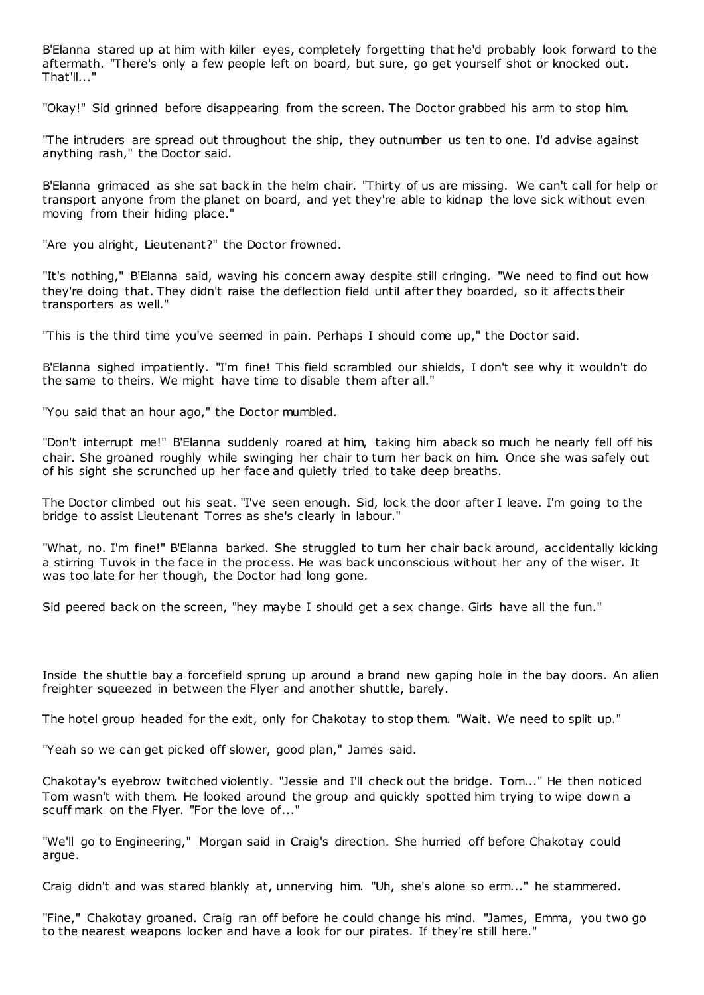B'Elanna stared up at him with killer eyes, completely forgetting that he'd probably look forward to the aftermath. "There's only a few people left on board, but sure, go get yourself shot or knocked out. That'll..."

"Okay!" Sid grinned before disappearing from the screen. The Doctor grabbed his arm to stop him.

"The intruders are spread out throughout the ship, they outnumber us ten to one. I'd advise against anything rash," the Doctor said.

B'Elanna grimaced as she sat back in the helm chair. "Thirty of us are missing. We can't call for help or transport anyone from the planet on board, and yet they're able to kidnap the love sick without even moving from their hiding place."

"Are you alright, Lieutenant?" the Doctor frowned.

"It's nothing," B'Elanna said, waving his concern away despite still cringing. "We need to find out how they're doing that. They didn't raise the deflection field until after they boarded, so it affects their transporters as well."

"This is the third time you've seemed in pain. Perhaps I should come up," the Doctor said.

B'Elanna sighed impatiently. "I'm fine! This field scrambled our shields, I don't see why it wouldn't do the same to theirs. We might have time to disable them after all."

"You said that an hour ago," the Doctor mumbled.

"Don't interrupt me!" B'Elanna suddenly roared at him, taking him aback so much he nearly fell off his chair. She groaned roughly while swinging her chair to turn her back on him. Once she was safely out of his sight she scrunched up her face and quietly tried to take deep breaths.

The Doctor climbed out his seat. "I've seen enough. Sid, lock the door after I leave. I'm going to the bridge to assist Lieutenant Torres as she's clearly in labour."

"What, no. I'm fine!" B'Elanna barked. She struggled to turn her chair back around, accidentally kicking a stirring Tuvok in the face in the process. He was back unconscious without her any of the wiser. It was too late for her though, the Doctor had long gone.

Sid peered back on the screen, "hey maybe I should get a sex change. Girls have all the fun."

Inside the shuttle bay a forcefield sprung up around a brand new gaping hole in the bay doors. An alien freighter squeezed in between the Flyer and another shuttle, barely.

The hotel group headed for the exit, only for Chakotay to stop them. "Wait. We need to split up."

"Yeah so we can get picked off slower, good plan," James said.

Chakotay's eyebrow twitched violently. "Jessie and I'll check out the bridge. Tom..." He then noticed Tom wasn't with them. He looked around the group and quickly spotted him trying to wipe dow n a scuff mark on the Flyer. "For the love of..."

"We'll go to Engineering," Morgan said in Craig's direction. She hurried off before Chakotay could argue.

Craig didn't and was stared blankly at, unnerving him. "Uh, she's alone so erm..." he stammered.

"Fine," Chakotay groaned. Craig ran off before he could change his mind. "James, Emma, you two go to the nearest weapons locker and have a look for our pirates. If they're still here."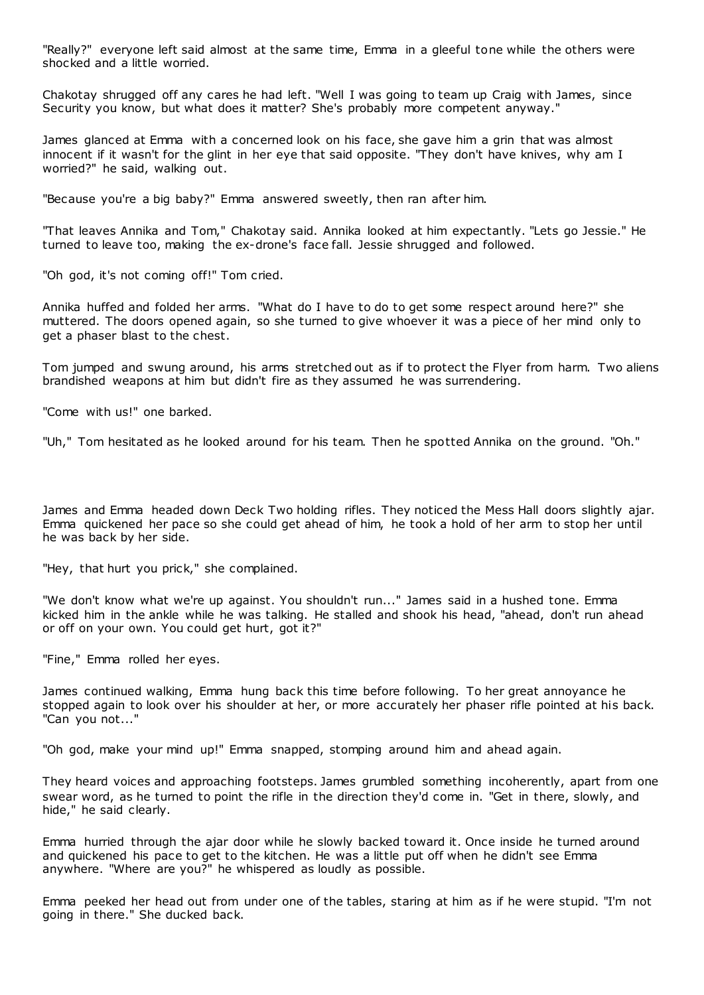"Really?" everyone left said almost at the same time, Emma in a gleeful tone while the others were shocked and a little worried.

Chakotay shrugged off any cares he had left. "Well I was going to team up Craig with James, since Security you know, but what does it matter? She's probably more competent anyway."

James glanced at Emma with a concerned look on his face, she gave him a grin that was almost innocent if it wasn't for the glint in her eye that said opposite. "They don't have knives, why am I worried?" he said, walking out.

"Because you're a big baby?" Emma answered sweetly, then ran after him.

"That leaves Annika and Tom," Chakotay said. Annika looked at him expectantly. "Lets go Jessie." He turned to leave too, making the ex-drone's face fall. Jessie shrugged and followed.

"Oh god, it's not coming off!" Tom cried.

Annika huffed and folded her arms. "What do I have to do to get some respect around here?" she muttered. The doors opened again, so she turned to give whoever it was a piece of her mind only to get a phaser blast to the chest.

Tom jumped and swung around, his arms stretched out as if to protect the Flyer from harm. Two aliens brandished weapons at him but didn't fire as they assumed he was surrendering.

"Come with us!" one barked.

"Uh," Tom hesitated as he looked around for his team. Then he spotted Annika on the ground. "Oh."

James and Emma headed down Deck Two holding rifles. They noticed the Mess Hall doors slightly ajar. Emma quickened her pace so she could get ahead of him, he took a hold of her arm to stop her until he was back by her side.

"Hey, that hurt you prick," she complained.

"We don't know what we're up against. You shouldn't run..." James said in a hushed tone. Emma kicked him in the ankle while he was talking. He stalled and shook his head, "ahead, don't run ahead or off on your own. You could get hurt, got it?"

"Fine," Emma rolled her eyes.

James continued walking, Emma hung back this time before following. To her great annoyance he stopped again to look over his shoulder at her, or more accurately her phaser rifle pointed at his back. "Can you not..."

"Oh god, make your mind up!" Emma snapped, stomping around him and ahead again.

They heard voices and approaching footsteps. James grumbled something incoherently, apart from one swear word, as he turned to point the rifle in the direction they'd come in. "Get in there, slowly, and hide," he said clearly.

Emma hurried through the ajar door while he slowly backed toward it. Once inside he turned around and quickened his pace to get to the kitchen. He was a little put off when he didn't see Emma anywhere. "Where are you?" he whispered as loudly as possible.

Emma peeked her head out from under one of the tables, staring at him as if he were stupid. "I'm not going in there." She ducked back.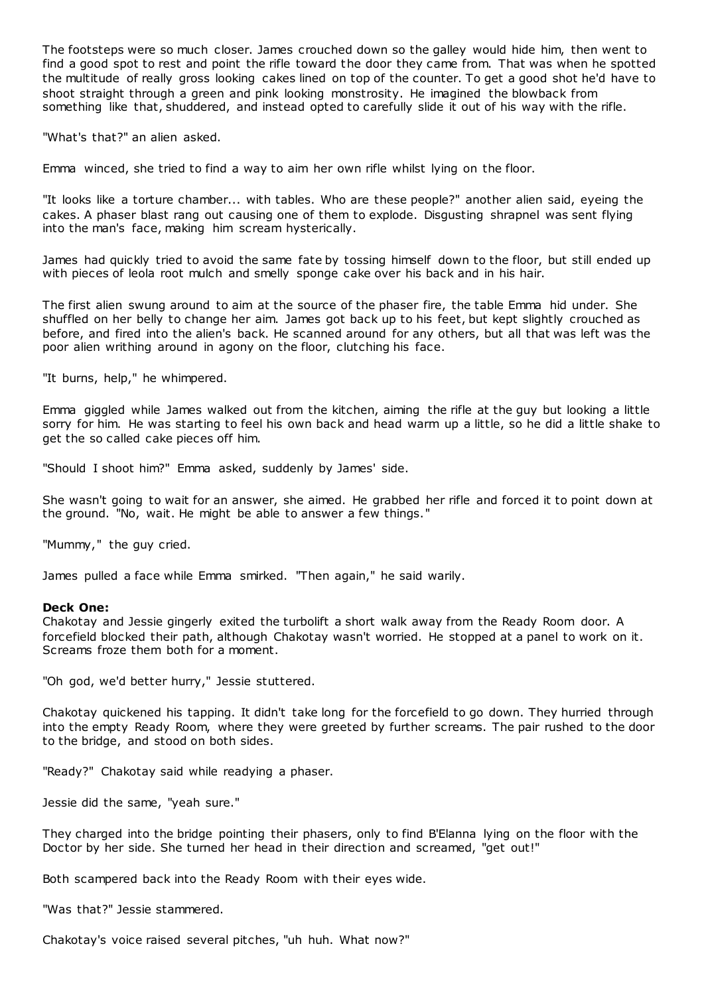The footsteps were so much closer. James crouched down so the galley would hide him, then went to find a good spot to rest and point the rifle toward the door they came from. That was when he spotted the multitude of really gross looking cakes lined on top of the counter. To get a good shot he'd have to shoot straight through a green and pink looking monstrosity. He imagined the blowback from something like that, shuddered, and instead opted to carefully slide it out of his way with the rifle.

"What's that?" an alien asked.

Emma winced, she tried to find a way to aim her own rifle whilst lying on the floor.

"It looks like a torture chamber... with tables. Who are these people?" another alien said, eyeing the cakes. A phaser blast rang out causing one of them to explode. Disgusting shrapnel was sent flying into the man's face, making him scream hysterically.

James had quickly tried to avoid the same fate by tossing himself down to the floor, but still ended up with pieces of leola root mulch and smelly sponge cake over his back and in his hair.

The first alien swung around to aim at the source of the phaser fire, the table Emma hid under. She shuffled on her belly to change her aim. James got back up to his feet, but kept slightly crouched as before, and fired into the alien's back. He scanned around for any others, but all that was left was the poor alien writhing around in agony on the floor, clutching his face.

"It burns, help," he whimpered.

Emma giggled while James walked out from the kitchen, aiming the rifle at the guy but looking a little sorry for him. He was starting to feel his own back and head warm up a little, so he did a little shake to get the so called cake pieces off him.

"Should I shoot him?" Emma asked, suddenly by James' side.

She wasn't going to wait for an answer, she aimed. He grabbed her rifle and forced it to point down at the ground. "No, wait. He might be able to answer a few things."

"Mummy," the guy cried.

James pulled a face while Emma smirked. "Then again," he said warily.

#### **Deck One:**

Chakotay and Jessie gingerly exited the turbolift a short walk away from the Ready Room door. A forcefield blocked their path, although Chakotay wasn't worried. He stopped at a panel to work on it. Screams froze them both for a moment.

"Oh god, we'd better hurry," Jessie stuttered.

Chakotay quickened his tapping. It didn't take long for the forcefield to go down. They hurried through into the empty Ready Room, where they were greeted by further screams. The pair rushed to the door to the bridge, and stood on both sides.

"Ready?" Chakotay said while readying a phaser.

Jessie did the same, "yeah sure."

They charged into the bridge pointing their phasers, only to find B'Elanna lying on the floor with the Doctor by her side. She turned her head in their direction and screamed, "get out!"

Both scampered back into the Ready Room with their eyes wide.

"Was that?" Jessie stammered.

Chakotay's voice raised several pitches, "uh huh. What now?"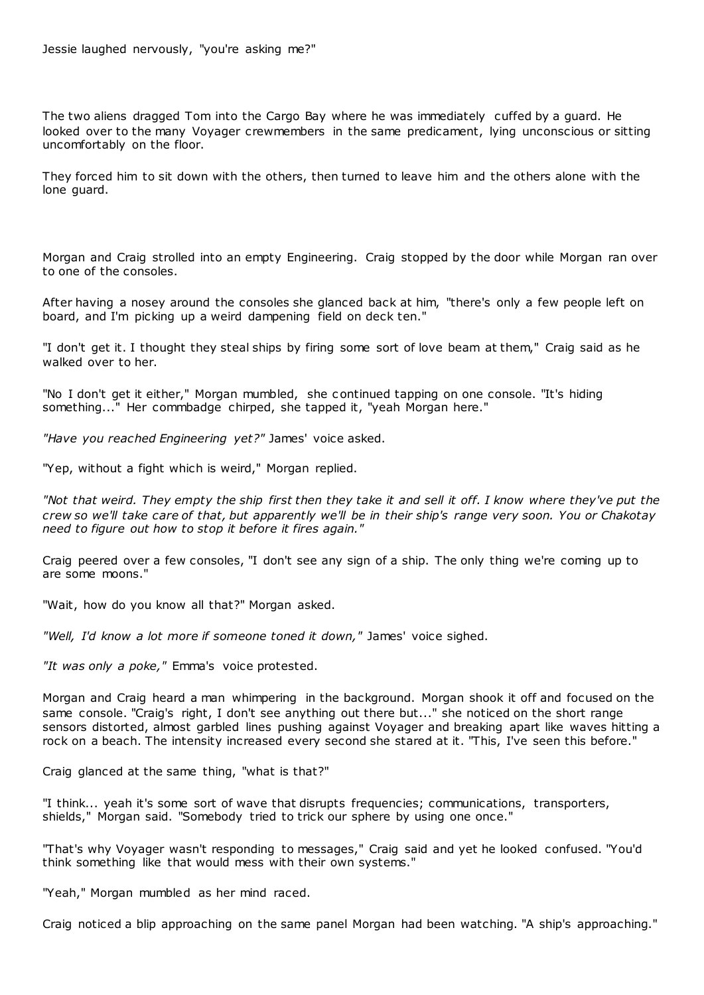The two aliens dragged Tom into the Cargo Bay where he was immediately cuffed by a guard. He looked over to the many Voyager crewmembers in the same predicament, lying unconscious or sitting uncomfortably on the floor.

They forced him to sit down with the others, then turned to leave him and the others alone with the lone guard.

Morgan and Craig strolled into an empty Engineering. Craig stopped by the door while Morgan ran over to one of the consoles.

After having a nosey around the consoles she glanced back at him, "there's only a few people left on board, and I'm picking up a weird dampening field on deck ten."

"I don't get it. I thought they steal ships by firing some sort of love beam at them," Craig said as he walked over to her.

"No I don't get it either," Morgan mumbled, she c ontinued tapping on one console. "It's hiding something..." Her commbadge chirped, she tapped it, "yeah Morgan here."

*"Have you reached Engineering yet?"* James' voice asked.

"Yep, without a fight which is weird," Morgan replied.

*"Not that weird. They empty the ship first then they take it and sell it off. I know where they've put the crew so we'll take care of that, but apparently we'll be in their ship's range very soon. You or Chakotay need to figure out how to stop it before it fires again."*

Craig peered over a few consoles, "I don't see any sign of a ship. The only thing we're coming up to are some moons."

"Wait, how do you know all that?" Morgan asked.

*"Well, I'd know a lot more if someone toned it down,"* James' voice sighed.

*"It was only a poke,"* Emma's voice protested.

Morgan and Craig heard a man whimpering in the background. Morgan shook it off and focused on the same console. "Craig's right, I don't see anything out there but..." she noticed on the short range sensors distorted, almost garbled lines pushing against Voyager and breaking apart like waves hitting a rock on a beach. The intensity increased every second she stared at it. "This, I've seen this before."

Craig glanced at the same thing, "what is that?"

"I think... yeah it's some sort of wave that disrupts frequencies; communications, transporters, shields," Morgan said. "Somebody tried to trick our sphere by using one once."

"That's why Voyager wasn't responding to messages," Craig said and yet he looked confused. "You'd think something like that would mess with their own systems."

"Yeah," Morgan mumbled as her mind raced.

Craig noticed a blip approaching on the same panel Morgan had been watching. "A ship's approaching."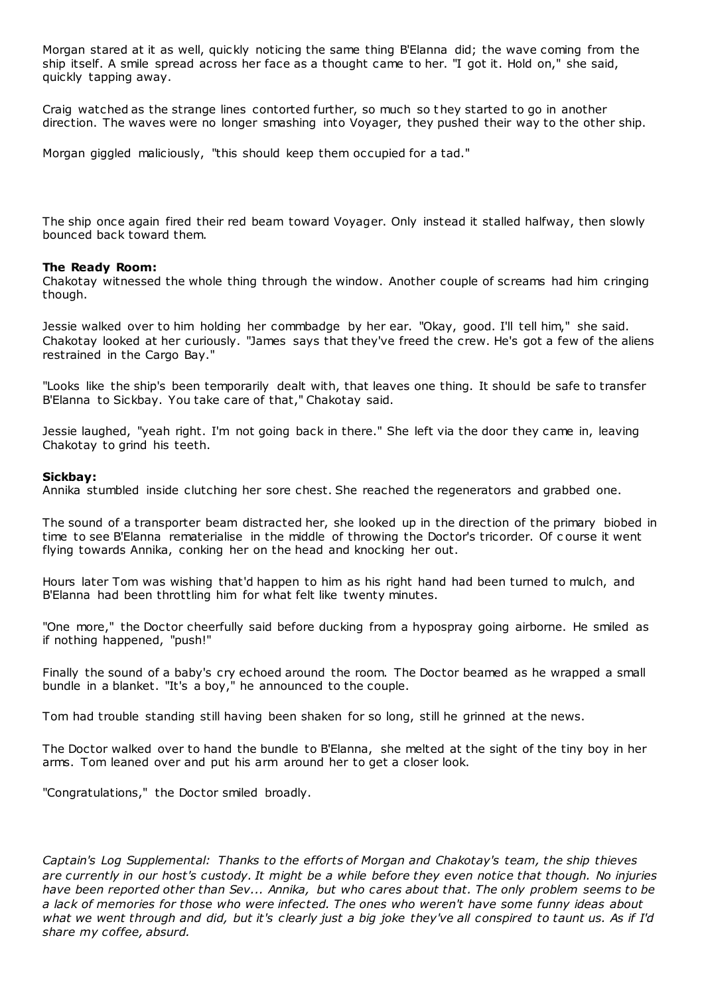Morgan stared at it as well, quickly noticing the same thing B'Elanna did; the wave coming from the ship itself. A smile spread across her face as a thought came to her. "I got it. Hold on," she said, quickly tapping away.

Craig watched as the strange lines contorted further, so much so they started to go in another direction. The waves were no longer smashing into Voyager, they pushed their way to the other ship.

Morgan giggled maliciously, "this should keep them occupied for a tad."

The ship once again fired their red beam toward Voyager. Only instead it stalled halfway, then slowly bounced back toward them.

### **The Ready Room:**

Chakotay witnessed the whole thing through the window. Another couple of screams had him cringing though.

Jessie walked over to him holding her commbadge by her ear. "Okay, good. I'll tell him," she said. Chakotay looked at her curiously. "James says that they've freed the crew. He's got a few of the aliens restrained in the Cargo Bay."

"Looks like the ship's been temporarily dealt with, that leaves one thing. It should be safe to transfer B'Elanna to Sickbay. You take care of that," Chakotay said.

Jessie laughed, "yeah right. I'm not going back in there." She left via the door they came in, leaving Chakotay to grind his teeth.

#### **Sickbay:**

Annika stumbled inside clutching her sore chest. She reached the regenerators and grabbed one.

The sound of a transporter beam distracted her, she looked up in the direction of the primary biobed in time to see B'Elanna rematerialise in the middle of throwing the Doctor's tricorder. Of c ourse it went flying towards Annika, conking her on the head and knocking her out.

Hours later Tom was wishing that'd happen to him as his right hand had been turned to mulch, and B'Elanna had been throttling him for what felt like twenty minutes.

"One more," the Doctor cheerfully said before ducking from a hypospray going airborne. He smiled as if nothing happened, "push!"

Finally the sound of a baby's cry echoed around the room. The Doctor beamed as he wrapped a small bundle in a blanket. "It's a boy," he announced to the couple.

Tom had trouble standing still having been shaken for so long, still he grinned at the news.

The Doctor walked over to hand the bundle to B'Elanna, she melted at the sight of the tiny boy in her arms. Tom leaned over and put his arm around her to get a closer look.

"Congratulations," the Doctor smiled broadly.

*Captain's Log Supplemental: Thanks to the efforts of Morgan and Chakotay's team, the ship thieves are currently in our host's custody. It might be a while before they even notice that though. No injuries have been reported other than Sev... Annika, but who cares about that. The only problem seems to be a lack of memories for those who were infected. The ones who weren't have some funny ideas about what we went through and did, but it's clearly just a big joke they've all conspired to taunt us. As if I'd share my coffee, absurd.*